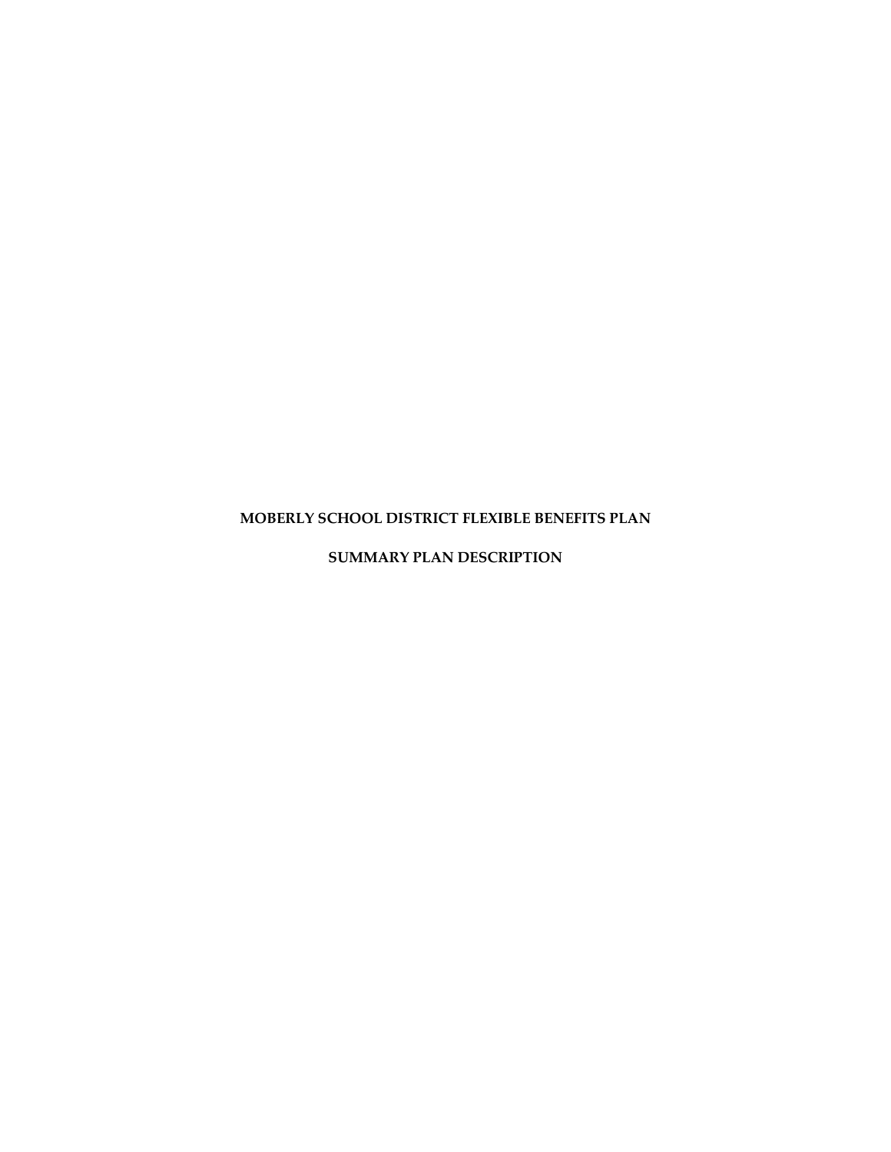# **MOBERLY SCHOOL DISTRICT FLEXIBLE BENEFITS PLAN**

**SUMMARY PLAN DESCRIPTION**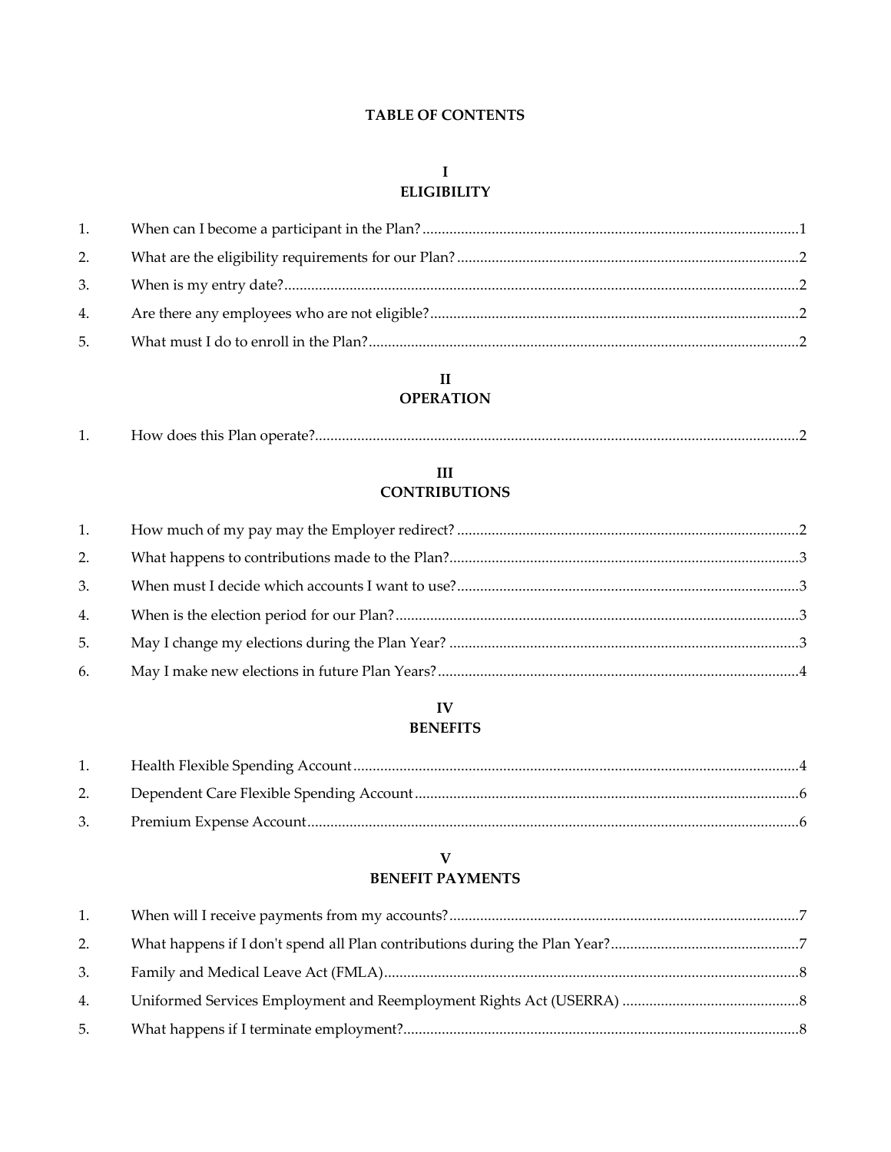# **TABLE OF CONTENTS**

# $\mathbf I$ **ELIGIBILITY**

| 1. |  |
|----|--|
| 2. |  |
|    |  |
|    |  |
| 5. |  |

# $\,$  II **OPERATION**

| . . |  |
|-----|--|
|-----|--|

# $\rm III$ **CONTRIBUTIONS**

| 1. |  |
|----|--|
| 2. |  |
| 3. |  |
| 4. |  |
| 5. |  |
| 6. |  |

# ${\bf IV}$ **BENEFITS**

| 1. |  |
|----|--|
|    |  |
|    |  |

# $\overline{\mathbf{V}}$ **BENEFIT PAYMENTS**

| 1. |  |
|----|--|
| 2. |  |
| 3. |  |
| 4. |  |
| 5. |  |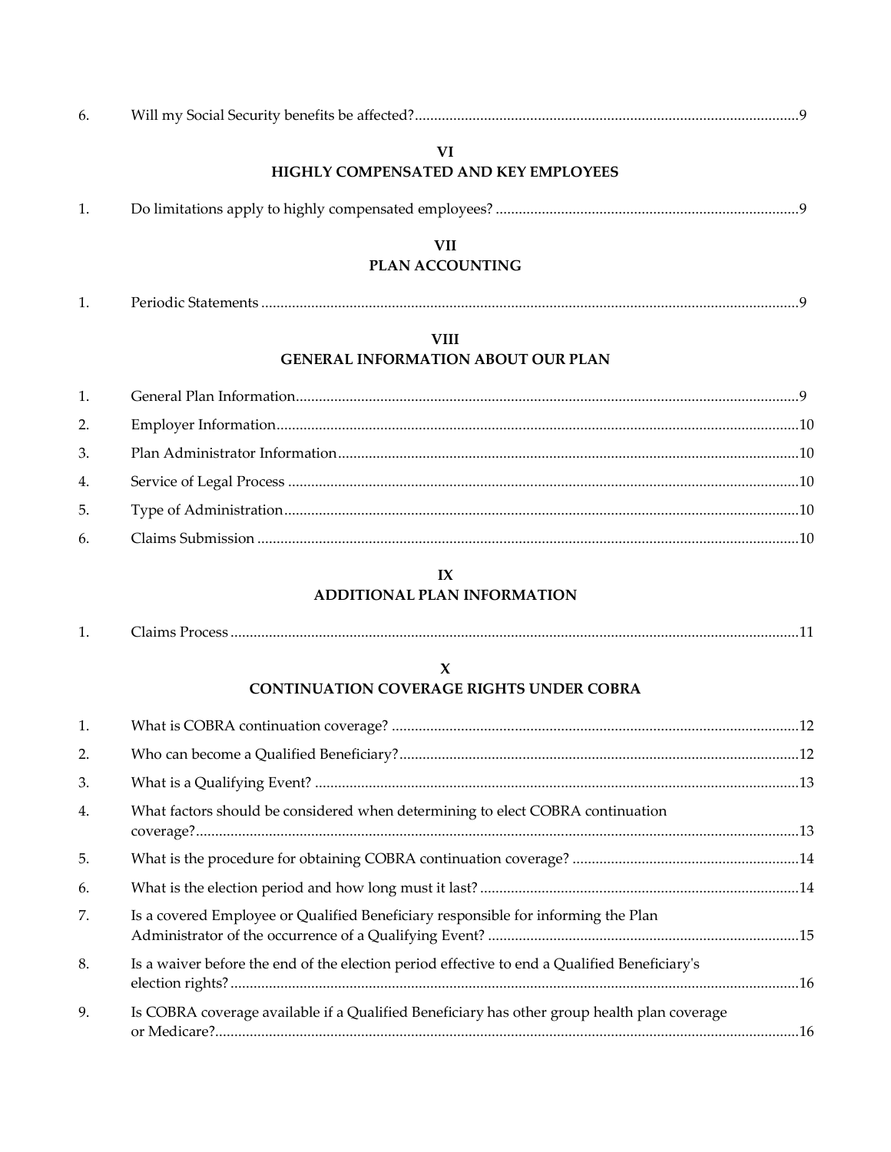| $\mathbf{b}$ |  |
|--------------|--|
|--------------|--|

# **VI HIGHLY COMPENSATED AND KEY EMPLOYEES**

# **VII**

# **PLAN ACCOUNTING**

| <b>.</b> | $\sim$<br>eriogic.<br>~~ 5tatements ………………………………………………………………………………………… |  |
|----------|------------------------------------------------------------------------|--|
|          |                                                                        |  |

# **VIII GENERAL INFORMATION ABOUT OUR PLAN**

# **IX**

# **ADDITIONAL PLAN INFORMATION**

| CONTINUIATION COVERACE RICHTS UNIDER CORRA |  |
|--------------------------------------------|--|

# **CONTINUATION COVERAGE RIGHTS UNDER COBRA**

| 1. |                                                                                              |  |
|----|----------------------------------------------------------------------------------------------|--|
| 2. |                                                                                              |  |
| 3. |                                                                                              |  |
| 4. | What factors should be considered when determining to elect COBRA continuation               |  |
| 5. |                                                                                              |  |
| 6. |                                                                                              |  |
| 7. | Is a covered Employee or Qualified Beneficiary responsible for informing the Plan            |  |
| 8. | Is a waiver before the end of the election period effective to end a Qualified Beneficiary's |  |
| 9. | Is COBRA coverage available if a Qualified Beneficiary has other group health plan coverage  |  |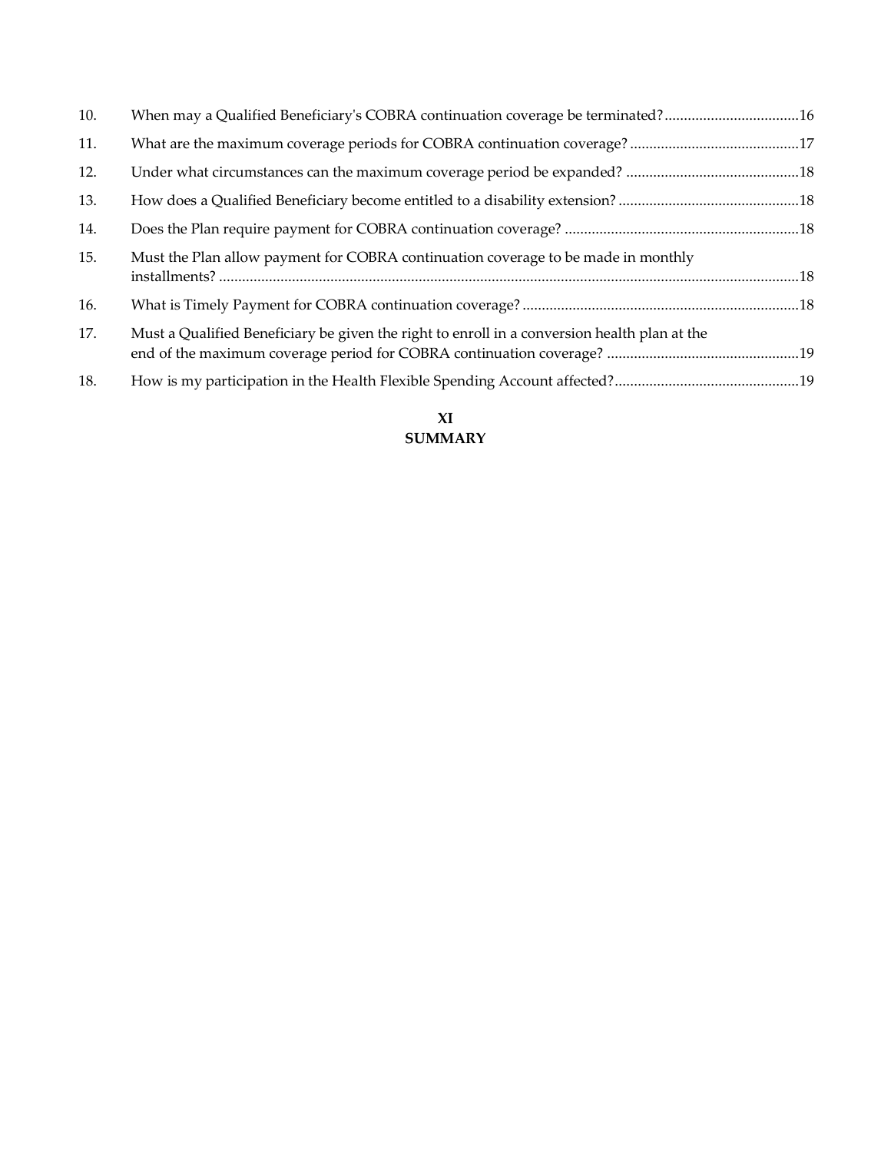| 10. | When may a Qualified Beneficiary's COBRA continuation coverage be terminated?16              |  |
|-----|----------------------------------------------------------------------------------------------|--|
| 11. |                                                                                              |  |
| 12. |                                                                                              |  |
| 13. |                                                                                              |  |
| 14. |                                                                                              |  |
| 15. | Must the Plan allow payment for COBRA continuation coverage to be made in monthly            |  |
| 16. |                                                                                              |  |
| 17. | Must a Qualified Beneficiary be given the right to enroll in a conversion health plan at the |  |
| 18. |                                                                                              |  |
|     |                                                                                              |  |

# **XI SUMMARY**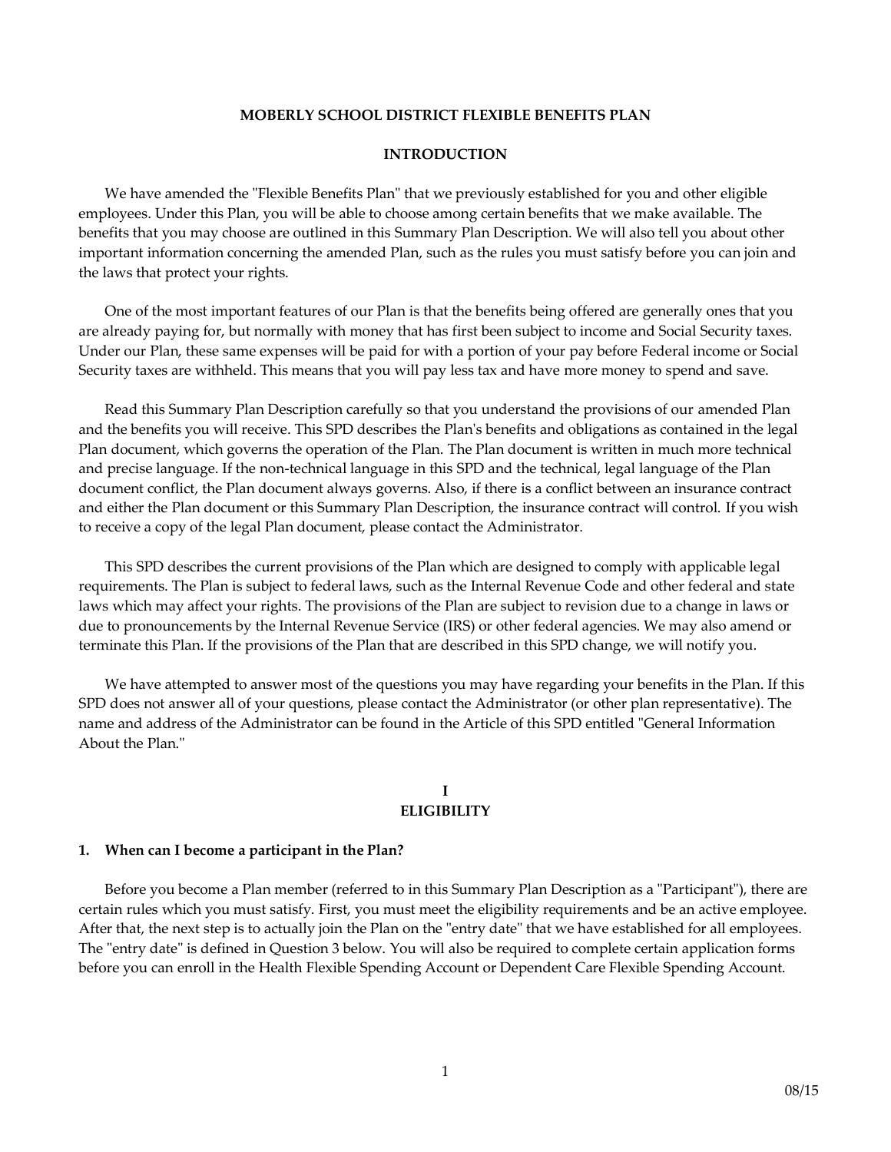#### **MOBERLY SCHOOL DISTRICT FLEXIBLE BENEFITS PLAN**

#### **INTRODUCTION**

We have amended the "Flexible Benefits Plan" that we previously established for you and other eligible employees. Under this Plan, you will be able to choose among certain benefits that we make available. The benefits that you may choose are outlined in this Summary Plan Description. We will also tell you about other important information concerning the amended Plan, such as the rules you must satisfy before you can join and the laws that protect your rights.

One of the most important features of our Plan is that the benefits being offered are generally ones that you are already paying for, but normally with money that has first been subject to income and Social Security taxes. Under our Plan, these same expenses will be paid for with a portion of your pay before Federal income or Social Security taxes are withheld. This means that you will pay less tax and have more money to spend and save.

Read this Summary Plan Description carefully so that you understand the provisions of our amended Plan and the benefits you will receive. This SPD describes the Plan's benefits and obligations as contained in the legal Plan document, which governs the operation of the Plan. The Plan document is written in much more technical and precise language. If the non-technical language in this SPD and the technical, legal language of the Plan document conflict, the Plan document always governs. Also, if there is a conflict between an insurance contract and either the Plan document or this Summary Plan Description, the insurance contract will control. If you wish to receive a copy of the legal Plan document, please contact the Administrator.

This SPD describes the current provisions of the Plan which are designed to comply with applicable legal requirements. The Plan is subject to federal laws, such as the Internal Revenue Code and other federal and state laws which may affect your rights. The provisions of the Plan are subject to revision due to a change in laws or due to pronouncements by the Internal Revenue Service (IRS) or other federal agencies. We may also amend or terminate this Plan. If the provisions of the Plan that are described in this SPD change, we will notify you.

We have attempted to answer most of the questions you may have regarding your benefits in the Plan. If this SPD does not answer all of your questions, please contact the Administrator (or other plan representative). The name and address of the Administrator can be found in the Article of this SPD entitled "General Information About the Plan."

#### **I ELIGIBILITY**

#### **1. When can I become a participant in the Plan?**

Before you become a Plan member (referred to in this Summary Plan Description as a "Participant"), there are certain rules which you must satisfy. First, you must meet the eligibility requirements and be an active employee. After that, the next step is to actually join the Plan on the "entry date" that we have established for all employees. The "entry date" is defined in Question 3 below. You will also be required to complete certain application forms before you can enroll in the Health Flexible Spending Account or Dependent Care Flexible Spending Account.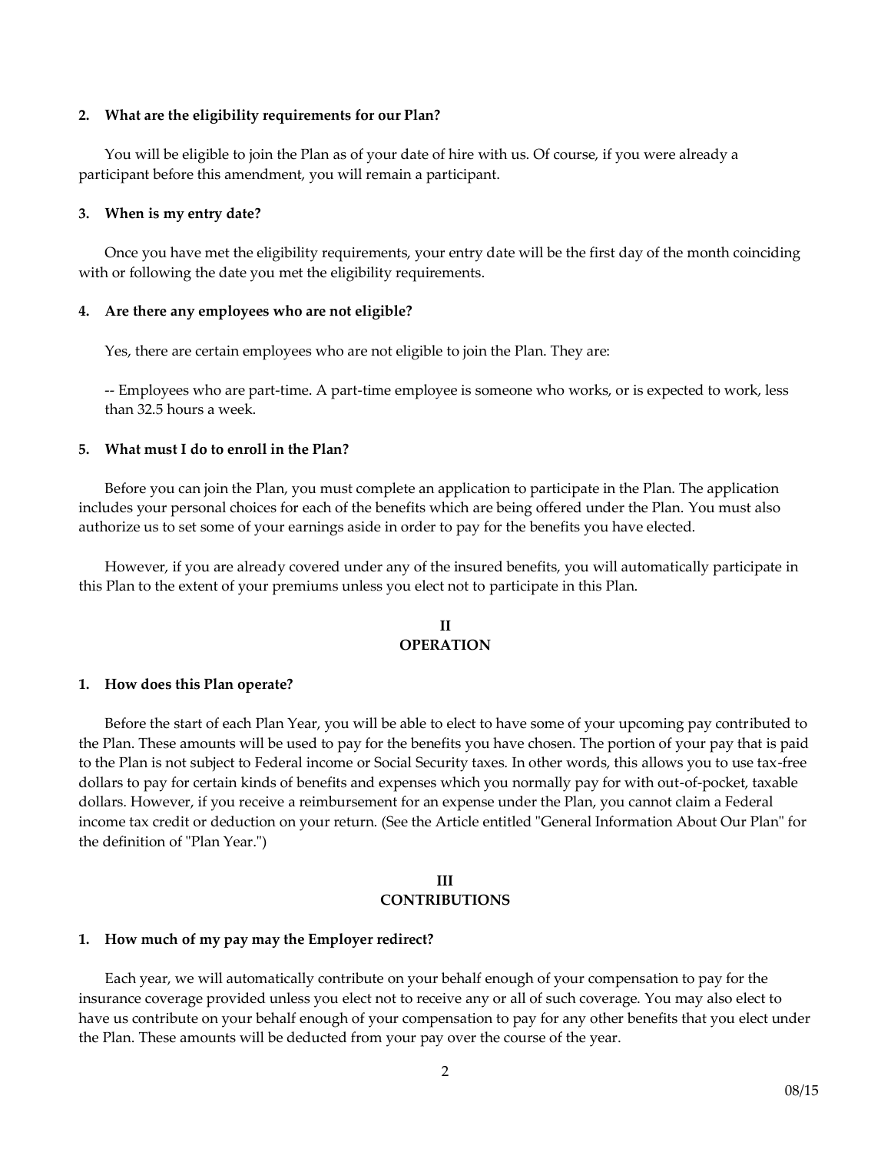#### **2. What are the eligibility requirements for our Plan?**

You will be eligible to join the Plan as of your date of hire with us. Of course, if you were already a participant before this amendment, you will remain a participant.

#### **3. When is my entry date?**

Once you have met the eligibility requirements, your entry date will be the first day of the month coinciding with or following the date you met the eligibility requirements.

#### **4. Are there any employees who are not eligible?**

Yes, there are certain employees who are not eligible to join the Plan. They are:

-- Employees who are part-time. A part-time employee is someone who works, or is expected to work, less than 32.5 hours a week.

#### **5. What must I do to enroll in the Plan?**

Before you can join the Plan, you must complete an application to participate in the Plan. The application includes your personal choices for each of the benefits which are being offered under the Plan. You must also authorize us to set some of your earnings aside in order to pay for the benefits you have elected.

However, if you are already covered under any of the insured benefits, you will automatically participate in this Plan to the extent of your premiums unless you elect not to participate in this Plan.

### **II OPERATION**

#### **1. How does this Plan operate?**

Before the start of each Plan Year, you will be able to elect to have some of your upcoming pay contributed to the Plan. These amounts will be used to pay for the benefits you have chosen. The portion of your pay that is paid to the Plan is not subject to Federal income or Social Security taxes. In other words, this allows you to use tax-free dollars to pay for certain kinds of benefits and expenses which you normally pay for with out-of-pocket, taxable dollars. However, if you receive a reimbursement for an expense under the Plan, you cannot claim a Federal income tax credit or deduction on your return. (See the Article entitled "General Information About Our Plan" for the definition of "Plan Year.")

#### **III CONTRIBUTIONS**

#### **1. How much of my pay may the Employer redirect?**

Each year, we will automatically contribute on your behalf enough of your compensation to pay for the insurance coverage provided unless you elect not to receive any or all of such coverage. You may also elect to have us contribute on your behalf enough of your compensation to pay for any other benefits that you elect under the Plan. These amounts will be deducted from your pay over the course of the year.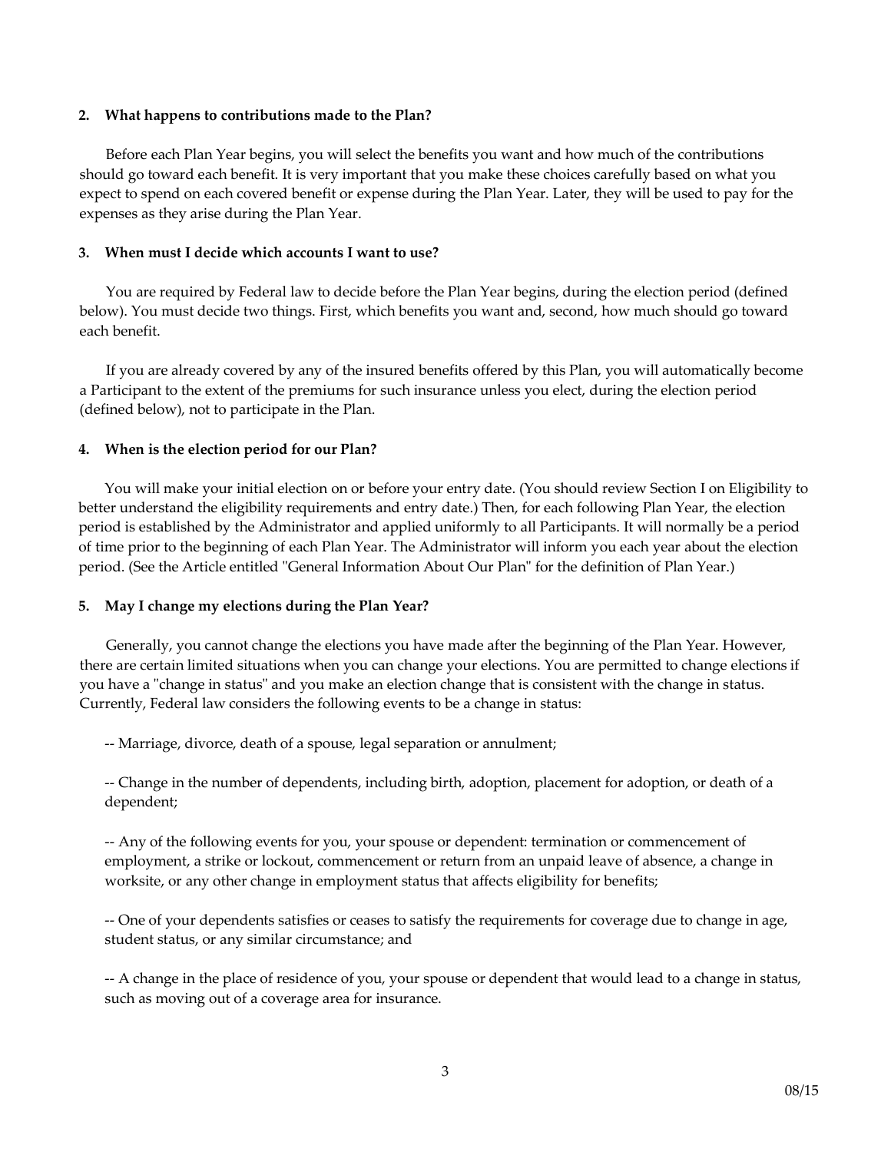#### **2. What happens to contributions made to the Plan?**

Before each Plan Year begins, you will select the benefits you want and how much of the contributions should go toward each benefit. It is very important that you make these choices carefully based on what you expect to spend on each covered benefit or expense during the Plan Year. Later, they will be used to pay for the expenses as they arise during the Plan Year.

# **3. When must I decide which accounts I want to use?**

You are required by Federal law to decide before the Plan Year begins, during the election period (defined below). You must decide two things. First, which benefits you want and, second, how much should go toward each benefit.

If you are already covered by any of the insured benefits offered by this Plan, you will automatically become a Participant to the extent of the premiums for such insurance unless you elect, during the election period (defined below), not to participate in the Plan.

# **4. When is the election period for our Plan?**

You will make your initial election on or before your entry date. (You should review Section I on Eligibility to better understand the eligibility requirements and entry date.) Then, for each following Plan Year, the election period is established by the Administrator and applied uniformly to all Participants. It will normally be a period of time prior to the beginning of each Plan Year. The Administrator will inform you each year about the election period. (See the Article entitled "General Information About Our Plan" for the definition of Plan Year.)

#### **5. May I change my elections during the Plan Year?**

Generally, you cannot change the elections you have made after the beginning of the Plan Year. However, there are certain limited situations when you can change your elections. You are permitted to change elections if you have a "change in status" and you make an election change that is consistent with the change in status. Currently, Federal law considers the following events to be a change in status:

-- Marriage, divorce, death of a spouse, legal separation or annulment;

-- Change in the number of dependents, including birth, adoption, placement for adoption, or death of a dependent;

-- Any of the following events for you, your spouse or dependent: termination or commencement of employment, a strike or lockout, commencement or return from an unpaid leave of absence, a change in worksite, or any other change in employment status that affects eligibility for benefits;

-- One of your dependents satisfies or ceases to satisfy the requirements for coverage due to change in age, student status, or any similar circumstance; and

-- A change in the place of residence of you, your spouse or dependent that would lead to a change in status, such as moving out of a coverage area for insurance.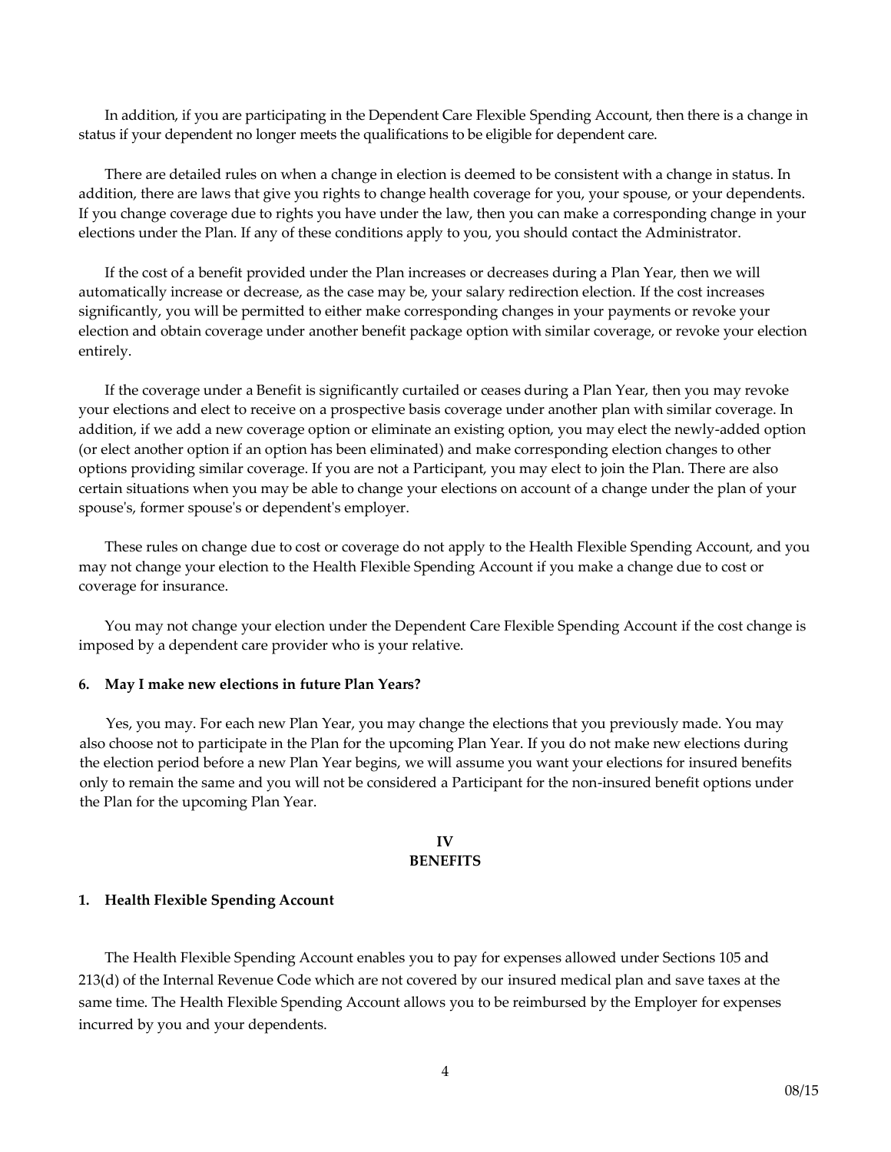In addition, if you are participating in the Dependent Care Flexible Spending Account, then there is a change in status if your dependent no longer meets the qualifications to be eligible for dependent care.

There are detailed rules on when a change in election is deemed to be consistent with a change in status. In addition, there are laws that give you rights to change health coverage for you, your spouse, or your dependents. If you change coverage due to rights you have under the law, then you can make a corresponding change in your elections under the Plan. If any of these conditions apply to you, you should contact the Administrator.

If the cost of a benefit provided under the Plan increases or decreases during a Plan Year, then we will automatically increase or decrease, as the case may be, your salary redirection election. If the cost increases significantly, you will be permitted to either make corresponding changes in your payments or revoke your election and obtain coverage under another benefit package option with similar coverage, or revoke your election entirely.

If the coverage under a Benefit is significantly curtailed or ceases during a Plan Year, then you may revoke your elections and elect to receive on a prospective basis coverage under another plan with similar coverage. In addition, if we add a new coverage option or eliminate an existing option, you may elect the newly-added option (or elect another option if an option has been eliminated) and make corresponding election changes to other options providing similar coverage. If you are not a Participant, you may elect to join the Plan. There are also certain situations when you may be able to change your elections on account of a change under the plan of your spouse's, former spouse's or dependent's employer.

These rules on change due to cost or coverage do not apply to the Health Flexible Spending Account, and you may not change your election to the Health Flexible Spending Account if you make a change due to cost or coverage for insurance.

You may not change your election under the Dependent Care Flexible Spending Account if the cost change is imposed by a dependent care provider who is your relative.

#### **6. May I make new elections in future Plan Years?**

Yes, you may. For each new Plan Year, you may change the elections that you previously made. You may also choose not to participate in the Plan for the upcoming Plan Year. If you do not make new elections during the election period before a new Plan Year begins, we will assume you want your elections for insured benefits only to remain the same and you will not be considered a Participant for the non-insured benefit options under the Plan for the upcoming Plan Year.

### **IV BENEFITS**

#### **1. Health Flexible Spending Account**

The Health Flexible Spending Account enables you to pay for expenses allowed under Sections 105 and 213(d) of the Internal Revenue Code which are not covered by our insured medical plan and save taxes at the same time. The Health Flexible Spending Account allows you to be reimbursed by the Employer for expenses incurred by you and your dependents.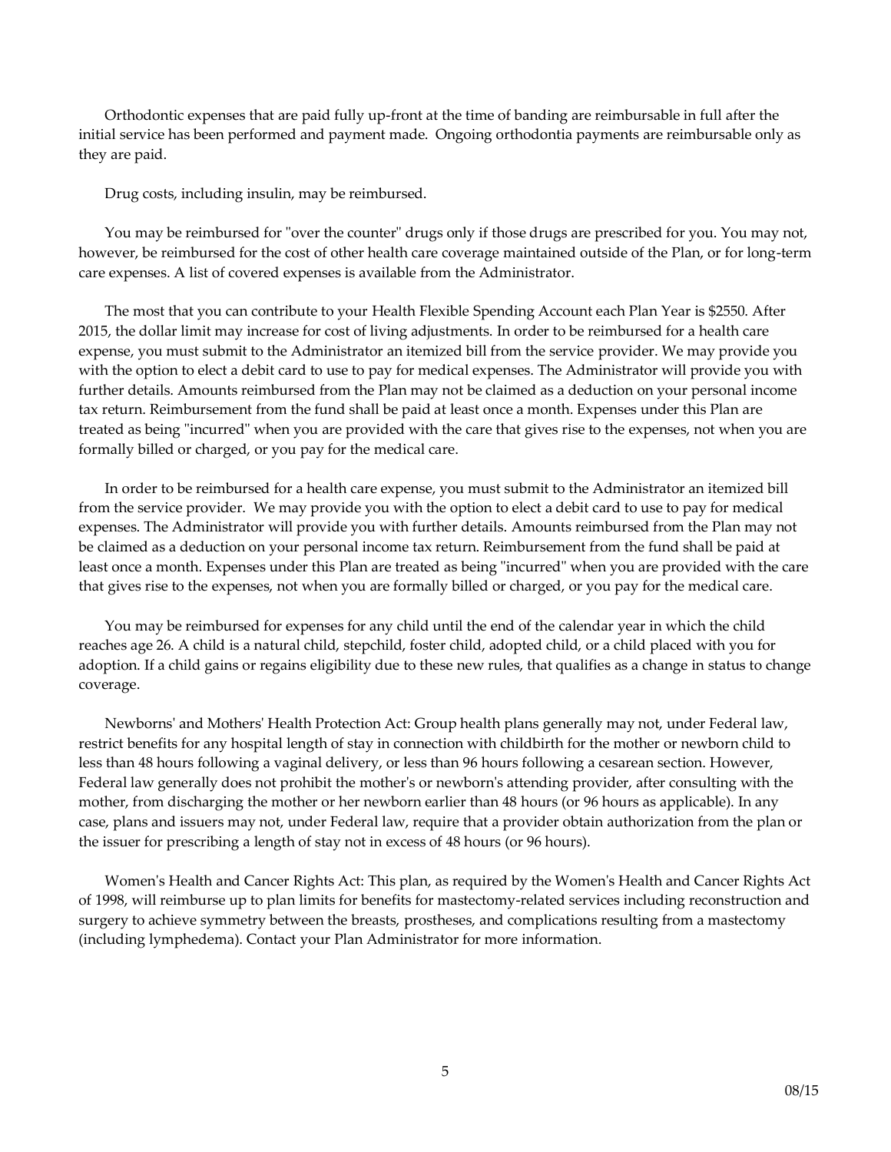Orthodontic expenses that are paid fully up-front at the time of banding are reimbursable in full after the initial service has been performed and payment made. Ongoing orthodontia payments are reimbursable only as they are paid.

Drug costs, including insulin, may be reimbursed.

You may be reimbursed for "over the counter" drugs only if those drugs are prescribed for you. You may not, however, be reimbursed for the cost of other health care coverage maintained outside of the Plan, or for long-term care expenses. A list of covered expenses is available from the Administrator.

The most that you can contribute to your Health Flexible Spending Account each Plan Year is \$2550. After 2015, the dollar limit may increase for cost of living adjustments. In order to be reimbursed for a health care expense, you must submit to the Administrator an itemized bill from the service provider. We may provide you with the option to elect a debit card to use to pay for medical expenses. The Administrator will provide you with further details. Amounts reimbursed from the Plan may not be claimed as a deduction on your personal income tax return. Reimbursement from the fund shall be paid at least once a month. Expenses under this Plan are treated as being "incurred" when you are provided with the care that gives rise to the expenses, not when you are formally billed or charged, or you pay for the medical care.

In order to be reimbursed for a health care expense, you must submit to the Administrator an itemized bill from the service provider. We may provide you with the option to elect a debit card to use to pay for medical expenses. The Administrator will provide you with further details. Amounts reimbursed from the Plan may not be claimed as a deduction on your personal income tax return. Reimbursement from the fund shall be paid at least once a month. Expenses under this Plan are treated as being "incurred" when you are provided with the care that gives rise to the expenses, not when you are formally billed or charged, or you pay for the medical care.

You may be reimbursed for expenses for any child until the end of the calendar year in which the child reaches age 26. A child is a natural child, stepchild, foster child, adopted child, or a child placed with you for adoption. If a child gains or regains eligibility due to these new rules, that qualifies as a change in status to change coverage.

Newborns' and Mothers' Health Protection Act: Group health plans generally may not, under Federal law, restrict benefits for any hospital length of stay in connection with childbirth for the mother or newborn child to less than 48 hours following a vaginal delivery, or less than 96 hours following a cesarean section. However, Federal law generally does not prohibit the mother's or newborn's attending provider, after consulting with the mother, from discharging the mother or her newborn earlier than 48 hours (or 96 hours as applicable). In any case, plans and issuers may not, under Federal law, require that a provider obtain authorization from the plan or the issuer for prescribing a length of stay not in excess of 48 hours (or 96 hours).

Women's Health and Cancer Rights Act: This plan, as required by the Women's Health and Cancer Rights Act of 1998, will reimburse up to plan limits for benefits for mastectomy-related services including reconstruction and surgery to achieve symmetry between the breasts, prostheses, and complications resulting from a mastectomy (including lymphedema). Contact your Plan Administrator for more information.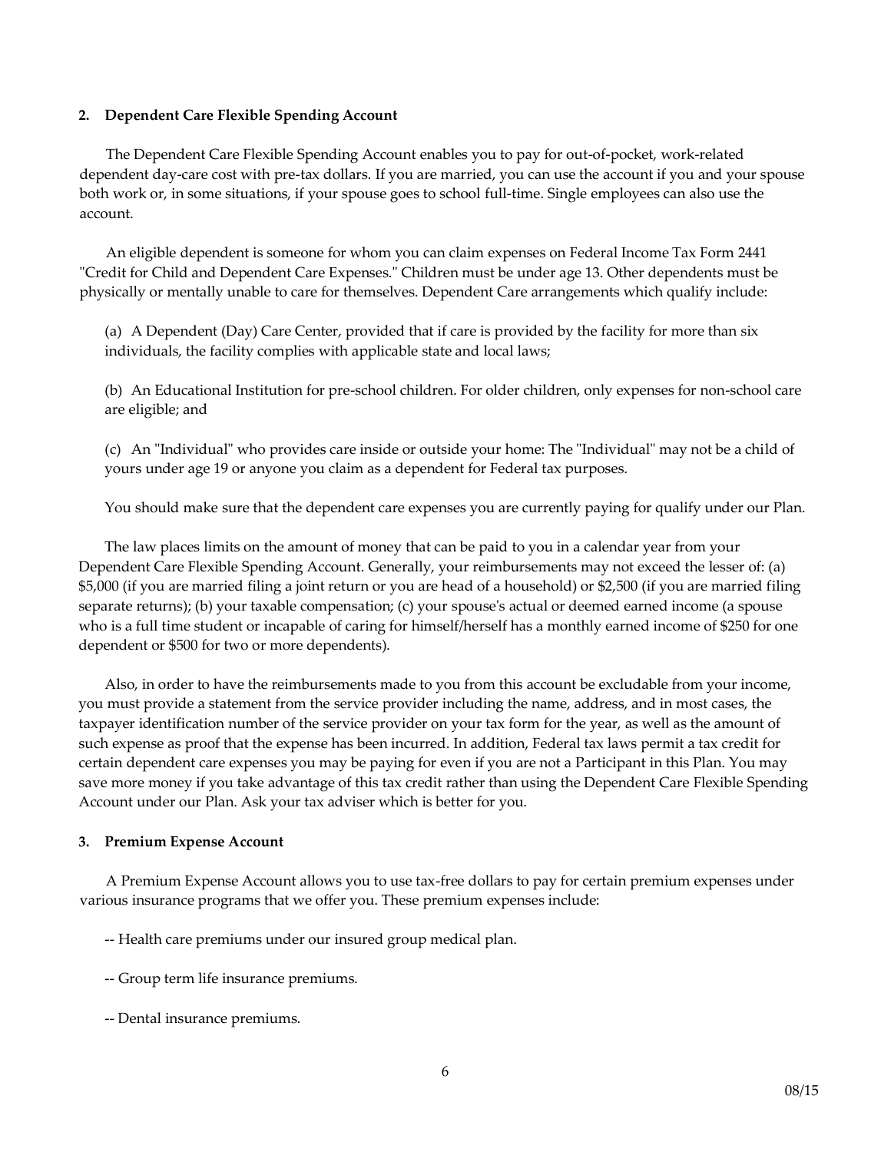#### **2. Dependent Care Flexible Spending Account**

The Dependent Care Flexible Spending Account enables you to pay for out-of-pocket, work-related dependent day-care cost with pre-tax dollars. If you are married, you can use the account if you and your spouse both work or, in some situations, if your spouse goes to school full-time. Single employees can also use the account.

An eligible dependent is someone for whom you can claim expenses on Federal Income Tax Form 2441 "Credit for Child and Dependent Care Expenses." Children must be under age 13. Other dependents must be physically or mentally unable to care for themselves. Dependent Care arrangements which qualify include:

(a) A Dependent (Day) Care Center, provided that if care is provided by the facility for more than six individuals, the facility complies with applicable state and local laws;

(b) An Educational Institution for pre-school children. For older children, only expenses for non-school care are eligible; and

(c) An "Individual" who provides care inside or outside your home: The "Individual" may not be a child of yours under age 19 or anyone you claim as a dependent for Federal tax purposes.

You should make sure that the dependent care expenses you are currently paying for qualify under our Plan.

The law places limits on the amount of money that can be paid to you in a calendar year from your Dependent Care Flexible Spending Account. Generally, your reimbursements may not exceed the lesser of: (a) \$5,000 (if you are married filing a joint return or you are head of a household) or \$2,500 (if you are married filing separate returns); (b) your taxable compensation; (c) your spouse's actual or deemed earned income (a spouse who is a full time student or incapable of caring for himself/herself has a monthly earned income of \$250 for one dependent or \$500 for two or more dependents).

Also, in order to have the reimbursements made to you from this account be excludable from your income, you must provide a statement from the service provider including the name, address, and in most cases, the taxpayer identification number of the service provider on your tax form for the year, as well as the amount of such expense as proof that the expense has been incurred. In addition, Federal tax laws permit a tax credit for certain dependent care expenses you may be paying for even if you are not a Participant in this Plan. You may save more money if you take advantage of this tax credit rather than using the Dependent Care Flexible Spending Account under our Plan. Ask your tax adviser which is better for you.

#### **3. Premium Expense Account**

A Premium Expense Account allows you to use tax-free dollars to pay for certain premium expenses under various insurance programs that we offer you. These premium expenses include:

-- Health care premiums under our insured group medical plan.

- -- Group term life insurance premiums.
- -- Dental insurance premiums.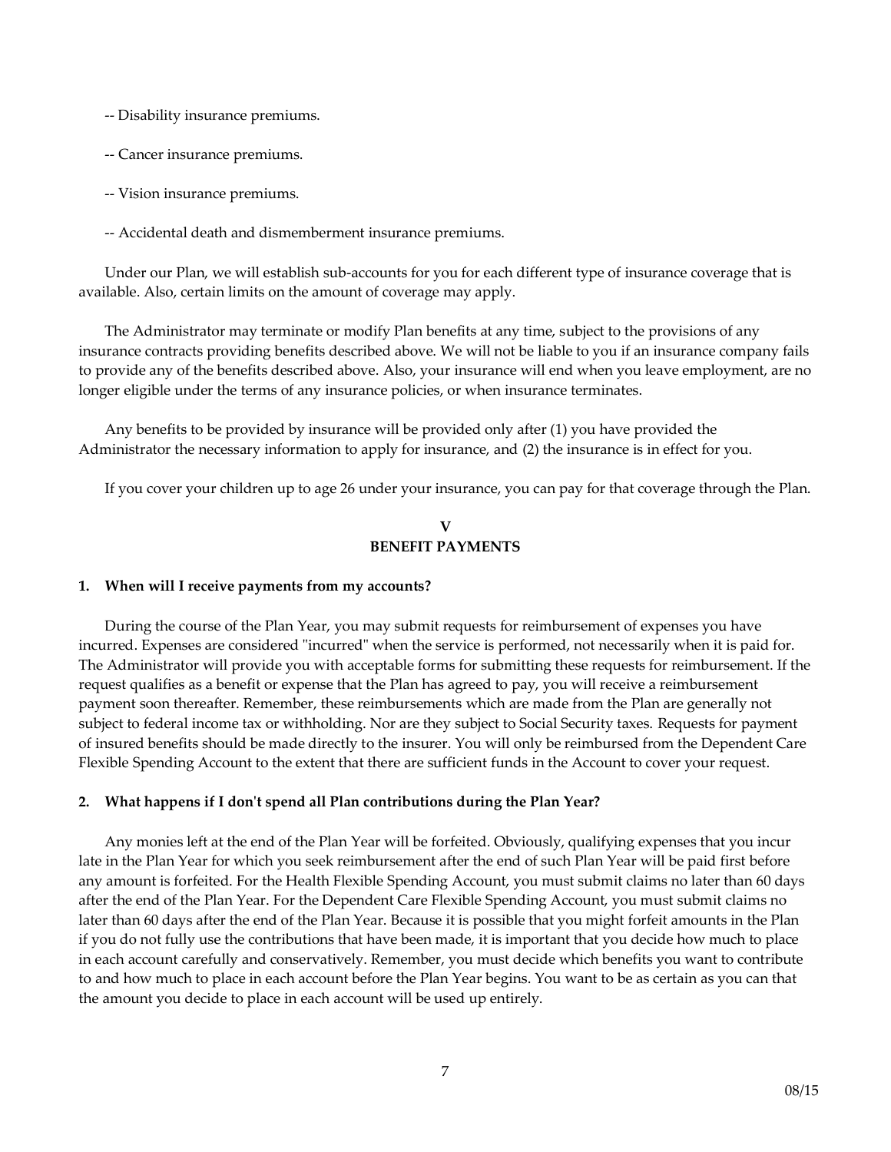-- Disability insurance premiums.

- -- Cancer insurance premiums.
- -- Vision insurance premiums.
- -- Accidental death and dismemberment insurance premiums.

Under our Plan, we will establish sub-accounts for you for each different type of insurance coverage that is available. Also, certain limits on the amount of coverage may apply.

The Administrator may terminate or modify Plan benefits at any time, subject to the provisions of any insurance contracts providing benefits described above. We will not be liable to you if an insurance company fails to provide any of the benefits described above. Also, your insurance will end when you leave employment, are no longer eligible under the terms of any insurance policies, or when insurance terminates.

Any benefits to be provided by insurance will be provided only after (1) you have provided the Administrator the necessary information to apply for insurance, and (2) the insurance is in effect for you.

If you cover your children up to age 26 under your insurance, you can pay for that coverage through the Plan.

# **V BENEFIT PAYMENTS**

#### **1. When will I receive payments from my accounts?**

During the course of the Plan Year, you may submit requests for reimbursement of expenses you have incurred. Expenses are considered "incurred" when the service is performed, not necessarily when it is paid for. The Administrator will provide you with acceptable forms for submitting these requests for reimbursement. If the request qualifies as a benefit or expense that the Plan has agreed to pay, you will receive a reimbursement payment soon thereafter. Remember, these reimbursements which are made from the Plan are generally not subject to federal income tax or withholding. Nor are they subject to Social Security taxes. Requests for payment of insured benefits should be made directly to the insurer. You will only be reimbursed from the Dependent Care Flexible Spending Account to the extent that there are sufficient funds in the Account to cover your request.

#### **2. What happens if I don't spend all Plan contributions during the Plan Year?**

Any monies left at the end of the Plan Year will be forfeited. Obviously, qualifying expenses that you incur late in the Plan Year for which you seek reimbursement after the end of such Plan Year will be paid first before any amount is forfeited. For the Health Flexible Spending Account, you must submit claims no later than 60 days after the end of the Plan Year. For the Dependent Care Flexible Spending Account, you must submit claims no later than 60 days after the end of the Plan Year. Because it is possible that you might forfeit amounts in the Plan if you do not fully use the contributions that have been made, it is important that you decide how much to place in each account carefully and conservatively. Remember, you must decide which benefits you want to contribute to and how much to place in each account before the Plan Year begins. You want to be as certain as you can that the amount you decide to place in each account will be used up entirely.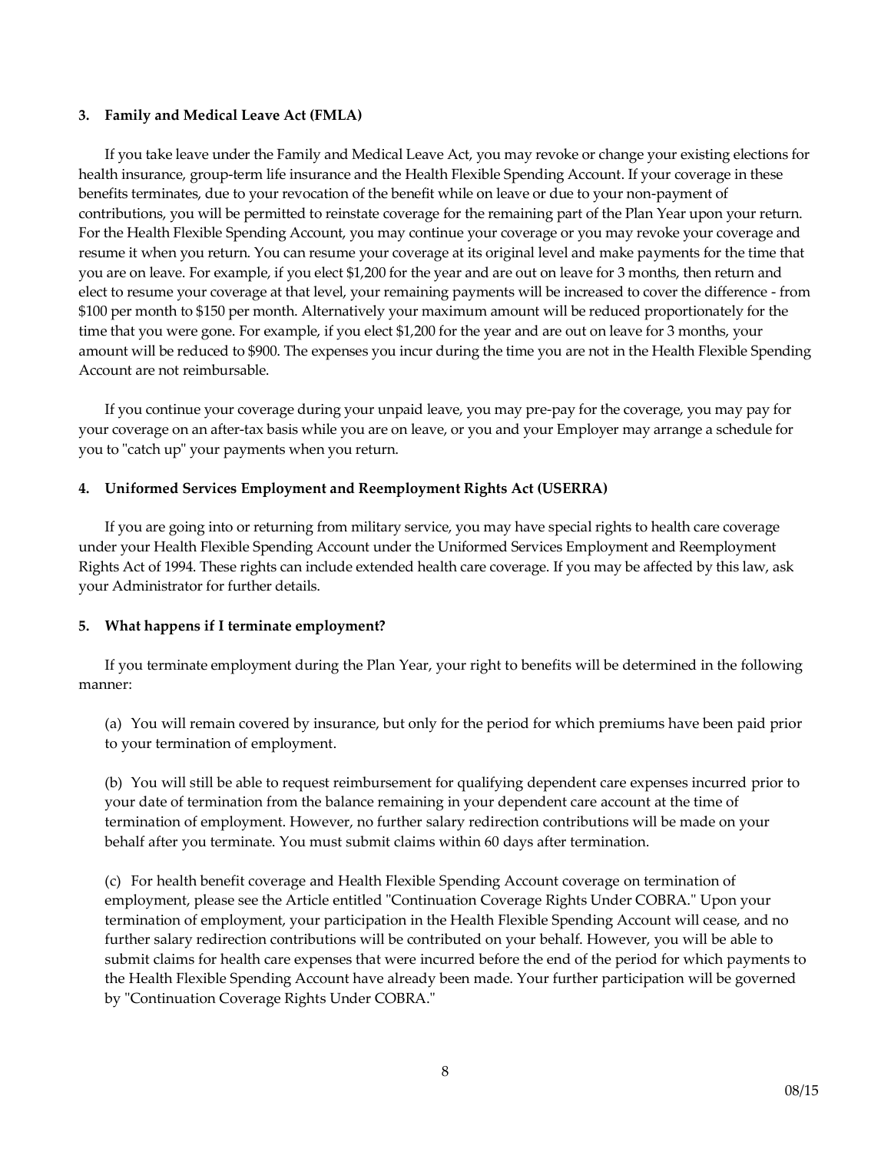#### **3. Family and Medical Leave Act (FMLA)**

If you take leave under the Family and Medical Leave Act, you may revoke or change your existing elections for health insurance, group-term life insurance and the Health Flexible Spending Account. If your coverage in these benefits terminates, due to your revocation of the benefit while on leave or due to your non-payment of contributions, you will be permitted to reinstate coverage for the remaining part of the Plan Year upon your return. For the Health Flexible Spending Account, you may continue your coverage or you may revoke your coverage and resume it when you return. You can resume your coverage at its original level and make payments for the time that you are on leave. For example, if you elect \$1,200 for the year and are out on leave for 3 months, then return and elect to resume your coverage at that level, your remaining payments will be increased to cover the difference - from \$100 per month to \$150 per month. Alternatively your maximum amount will be reduced proportionately for the time that you were gone. For example, if you elect \$1,200 for the year and are out on leave for 3 months, your amount will be reduced to \$900. The expenses you incur during the time you are not in the Health Flexible Spending Account are not reimbursable.

If you continue your coverage during your unpaid leave, you may pre-pay for the coverage, you may pay for your coverage on an after-tax basis while you are on leave, or you and your Employer may arrange a schedule for you to "catch up" your payments when you return.

# **4. Uniformed Services Employment and Reemployment Rights Act (USERRA)**

If you are going into or returning from military service, you may have special rights to health care coverage under your Health Flexible Spending Account under the Uniformed Services Employment and Reemployment Rights Act of 1994. These rights can include extended health care coverage. If you may be affected by this law, ask your Administrator for further details.

# **5. What happens if I terminate employment?**

If you terminate employment during the Plan Year, your right to benefits will be determined in the following manner:

(a) You will remain covered by insurance, but only for the period for which premiums have been paid prior to your termination of employment.

(b) You will still be able to request reimbursement for qualifying dependent care expenses incurred prior to your date of termination from the balance remaining in your dependent care account at the time of termination of employment. However, no further salary redirection contributions will be made on your behalf after you terminate. You must submit claims within 60 days after termination.

(c) For health benefit coverage and Health Flexible Spending Account coverage on termination of employment, please see the Article entitled "Continuation Coverage Rights Under COBRA." Upon your termination of employment, your participation in the Health Flexible Spending Account will cease, and no further salary redirection contributions will be contributed on your behalf. However, you will be able to submit claims for health care expenses that were incurred before the end of the period for which payments to the Health Flexible Spending Account have already been made. Your further participation will be governed by "Continuation Coverage Rights Under COBRA."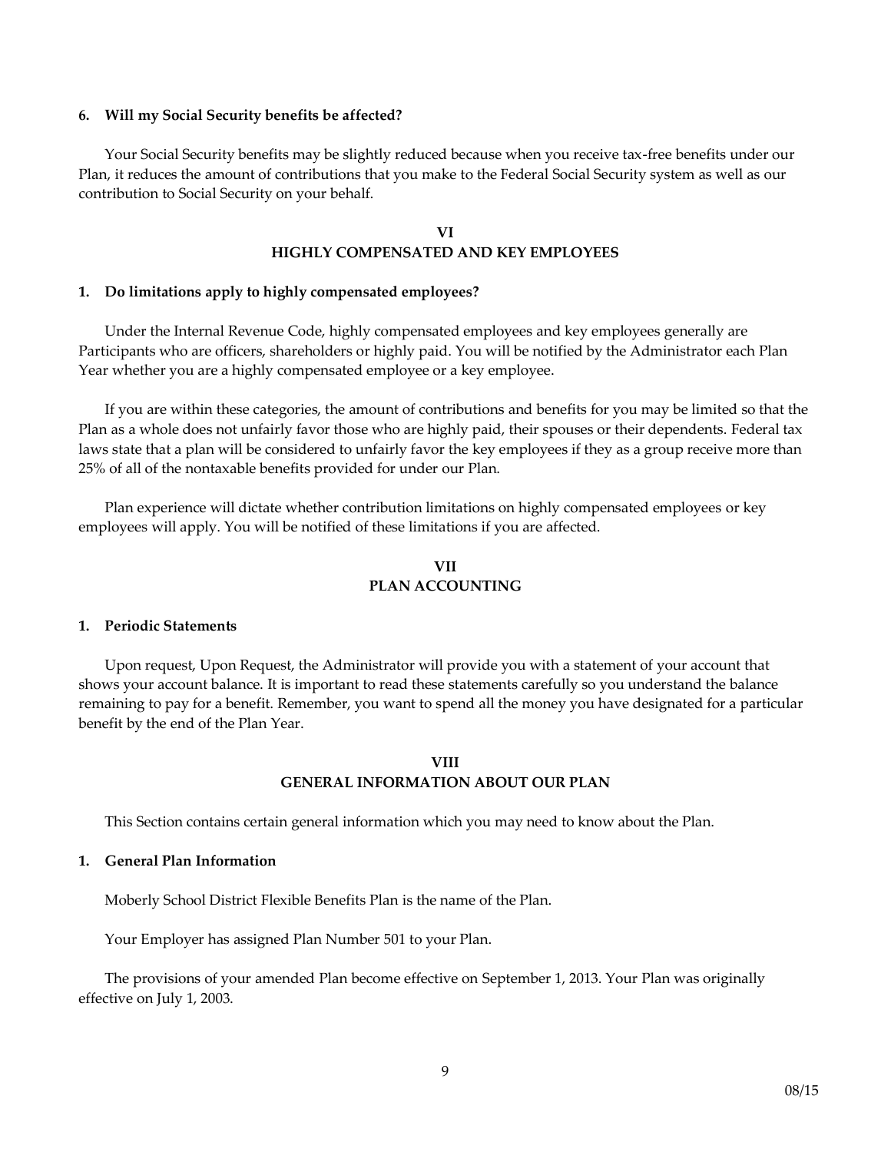#### **6. Will my Social Security benefits be affected?**

Your Social Security benefits may be slightly reduced because when you receive tax-free benefits under our Plan, it reduces the amount of contributions that you make to the Federal Social Security system as well as our contribution to Social Security on your behalf.

# **VI HIGHLY COMPENSATED AND KEY EMPLOYEES**

#### **1. Do limitations apply to highly compensated employees?**

Under the Internal Revenue Code, highly compensated employees and key employees generally are Participants who are officers, shareholders or highly paid. You will be notified by the Administrator each Plan Year whether you are a highly compensated employee or a key employee.

If you are within these categories, the amount of contributions and benefits for you may be limited so that the Plan as a whole does not unfairly favor those who are highly paid, their spouses or their dependents. Federal tax laws state that a plan will be considered to unfairly favor the key employees if they as a group receive more than 25% of all of the nontaxable benefits provided for under our Plan.

Plan experience will dictate whether contribution limitations on highly compensated employees or key employees will apply. You will be notified of these limitations if you are affected.

# **VII PLAN ACCOUNTING**

### **1. Periodic Statements**

Upon request, Upon Request, the Administrator will provide you with a statement of your account that shows your account balance. It is important to read these statements carefully so you understand the balance remaining to pay for a benefit. Remember, you want to spend all the money you have designated for a particular benefit by the end of the Plan Year.

#### **VIII GENERAL INFORMATION ABOUT OUR PLAN**

This Section contains certain general information which you may need to know about the Plan.

#### **1. General Plan Information**

Moberly School District Flexible Benefits Plan is the name of the Plan.

Your Employer has assigned Plan Number 501 to your Plan.

The provisions of your amended Plan become effective on September 1, 2013. Your Plan was originally effective on July 1, 2003.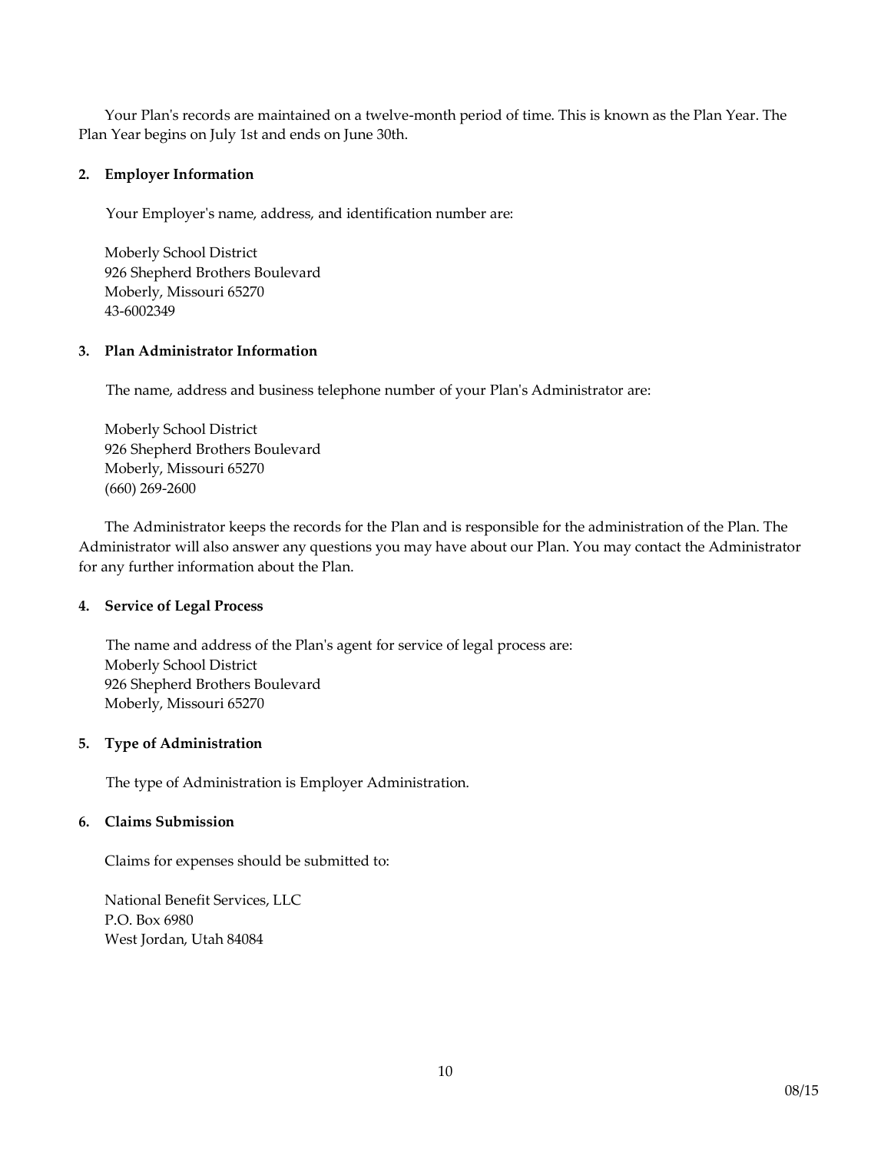Your Plan's records are maintained on a twelve-month period of time. This is known as the Plan Year. The Plan Year begins on July 1st and ends on June 30th.

# **2. Employer Information**

Your Employer's name, address, and identification number are:

Moberly School District 926 Shepherd Brothers Boulevard Moberly, Missouri 65270 43-6002349

# **3. Plan Administrator Information**

The name, address and business telephone number of your Plan's Administrator are:

Moberly School District 926 Shepherd Brothers Boulevard Moberly, Missouri 65270 (660) 269-2600

The Administrator keeps the records for the Plan and is responsible for the administration of the Plan. The Administrator will also answer any questions you may have about our Plan. You may contact the Administrator for any further information about the Plan.

# **4. Service of Legal Process**

The name and address of the Plan's agent for service of legal process are: Moberly School District 926 Shepherd Brothers Boulevard Moberly, Missouri 65270

# **5. Type of Administration**

The type of Administration is Employer Administration.

# **6. Claims Submission**

Claims for expenses should be submitted to:

National Benefit Services, LLC P.O. Box 6980 West Jordan, Utah 84084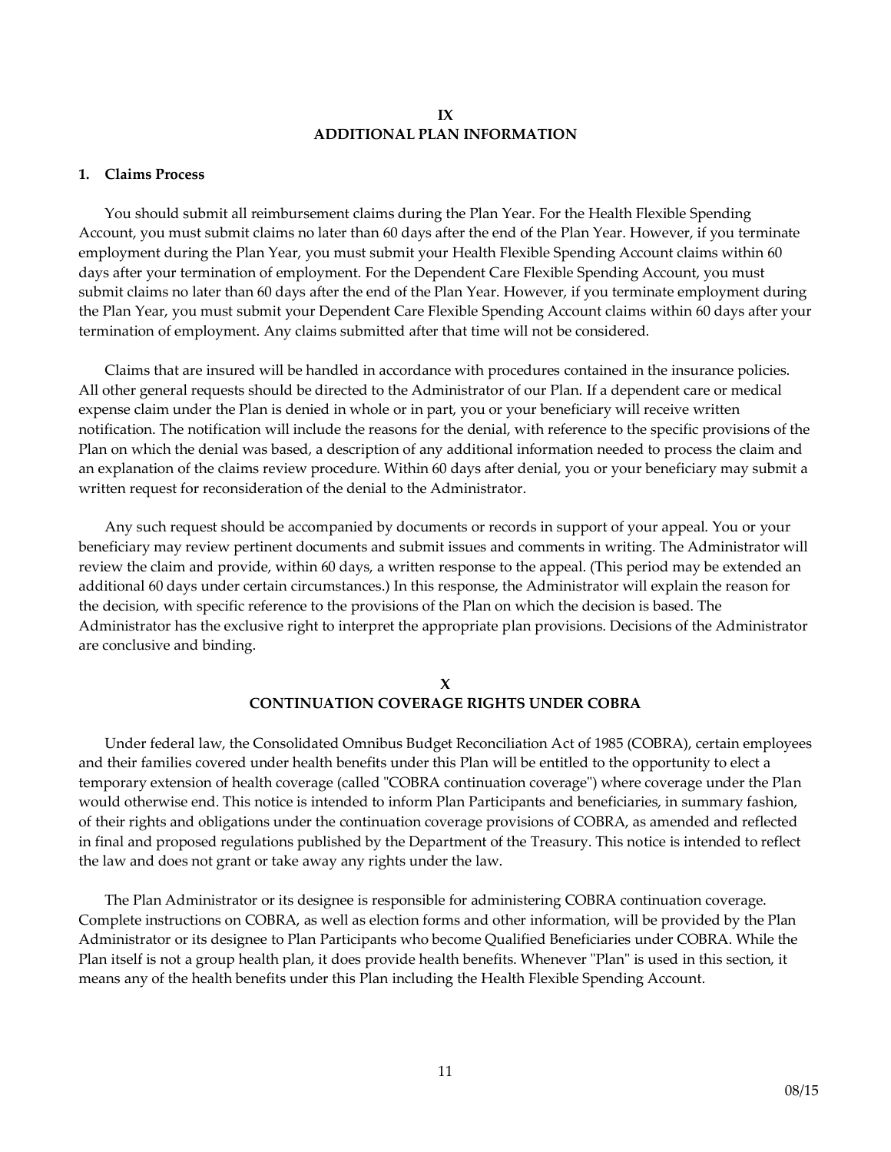#### **IX ADDITIONAL PLAN INFORMATION**

#### **1. Claims Process**

You should submit all reimbursement claims during the Plan Year. For the Health Flexible Spending Account, you must submit claims no later than 60 days after the end of the Plan Year. However, if you terminate employment during the Plan Year, you must submit your Health Flexible Spending Account claims within 60 days after your termination of employment. For the Dependent Care Flexible Spending Account, you must submit claims no later than 60 days after the end of the Plan Year. However, if you terminate employment during the Plan Year, you must submit your Dependent Care Flexible Spending Account claims within 60 days after your termination of employment. Any claims submitted after that time will not be considered.

Claims that are insured will be handled in accordance with procedures contained in the insurance policies. All other general requests should be directed to the Administrator of our Plan. If a dependent care or medical expense claim under the Plan is denied in whole or in part, you or your beneficiary will receive written notification. The notification will include the reasons for the denial, with reference to the specific provisions of the Plan on which the denial was based, a description of any additional information needed to process the claim and an explanation of the claims review procedure. Within 60 days after denial, you or your beneficiary may submit a written request for reconsideration of the denial to the Administrator.

Any such request should be accompanied by documents or records in support of your appeal. You or your beneficiary may review pertinent documents and submit issues and comments in writing. The Administrator will review the claim and provide, within 60 days, a written response to the appeal. (This period may be extended an additional 60 days under certain circumstances.) In this response, the Administrator will explain the reason for the decision, with specific reference to the provisions of the Plan on which the decision is based. The Administrator has the exclusive right to interpret the appropriate plan provisions. Decisions of the Administrator are conclusive and binding.

### **X CONTINUATION COVERAGE RIGHTS UNDER COBRA**

Under federal law, the Consolidated Omnibus Budget Reconciliation Act of 1985 (COBRA), certain employees and their families covered under health benefits under this Plan will be entitled to the opportunity to elect a temporary extension of health coverage (called "COBRA continuation coverage") where coverage under the Plan would otherwise end. This notice is intended to inform Plan Participants and beneficiaries, in summary fashion, of their rights and obligations under the continuation coverage provisions of COBRA, as amended and reflected in final and proposed regulations published by the Department of the Treasury. This notice is intended to reflect the law and does not grant or take away any rights under the law.

The Plan Administrator or its designee is responsible for administering COBRA continuation coverage. Complete instructions on COBRA, as well as election forms and other information, will be provided by the Plan Administrator or its designee to Plan Participants who become Qualified Beneficiaries under COBRA. While the Plan itself is not a group health plan, it does provide health benefits. Whenever "Plan" is used in this section, it means any of the health benefits under this Plan including the Health Flexible Spending Account.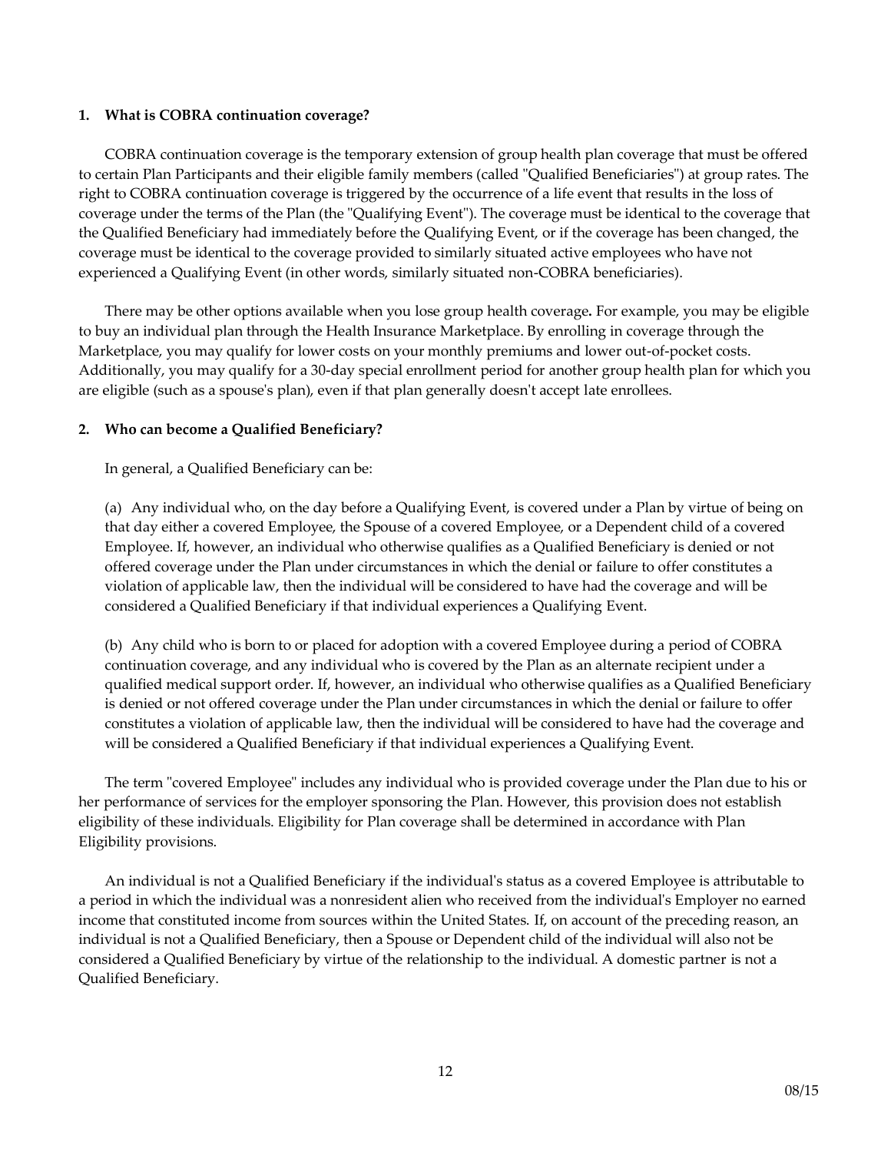### **1. What is COBRA continuation coverage?**

COBRA continuation coverage is the temporary extension of group health plan coverage that must be offered to certain Plan Participants and their eligible family members (called "Qualified Beneficiaries") at group rates. The right to COBRA continuation coverage is triggered by the occurrence of a life event that results in the loss of coverage under the terms of the Plan (the "Qualifying Event"). The coverage must be identical to the coverage that the Qualified Beneficiary had immediately before the Qualifying Event, or if the coverage has been changed, the coverage must be identical to the coverage provided to similarly situated active employees who have not experienced a Qualifying Event (in other words, similarly situated non-COBRA beneficiaries).

There may be other options available when you lose group health coverage**.** For example, you may be eligible to buy an individual plan through the Health Insurance Marketplace. By enrolling in coverage through the Marketplace, you may qualify for lower costs on your monthly premiums and lower out-of-pocket costs. Additionally, you may qualify for a 30-day special enrollment period for another group health plan for which you are eligible (such as a spouse's plan), even if that plan generally doesn't accept late enrollees.

# **2. Who can become a Qualified Beneficiary?**

In general, a Qualified Beneficiary can be:

(a) Any individual who, on the day before a Qualifying Event, is covered under a Plan by virtue of being on that day either a covered Employee, the Spouse of a covered Employee, or a Dependent child of a covered Employee. If, however, an individual who otherwise qualifies as a Qualified Beneficiary is denied or not offered coverage under the Plan under circumstances in which the denial or failure to offer constitutes a violation of applicable law, then the individual will be considered to have had the coverage and will be considered a Qualified Beneficiary if that individual experiences a Qualifying Event.

(b) Any child who is born to or placed for adoption with a covered Employee during a period of COBRA continuation coverage, and any individual who is covered by the Plan as an alternate recipient under a qualified medical support order. If, however, an individual who otherwise qualifies as a Qualified Beneficiary is denied or not offered coverage under the Plan under circumstances in which the denial or failure to offer constitutes a violation of applicable law, then the individual will be considered to have had the coverage and will be considered a Qualified Beneficiary if that individual experiences a Qualifying Event.

The term "covered Employee" includes any individual who is provided coverage under the Plan due to his or her performance of services for the employer sponsoring the Plan. However, this provision does not establish eligibility of these individuals. Eligibility for Plan coverage shall be determined in accordance with Plan Eligibility provisions.

An individual is not a Qualified Beneficiary if the individual's status as a covered Employee is attributable to a period in which the individual was a nonresident alien who received from the individual's Employer no earned income that constituted income from sources within the United States. If, on account of the preceding reason, an individual is not a Qualified Beneficiary, then a Spouse or Dependent child of the individual will also not be considered a Qualified Beneficiary by virtue of the relationship to the individual. A domestic partner is not a Qualified Beneficiary.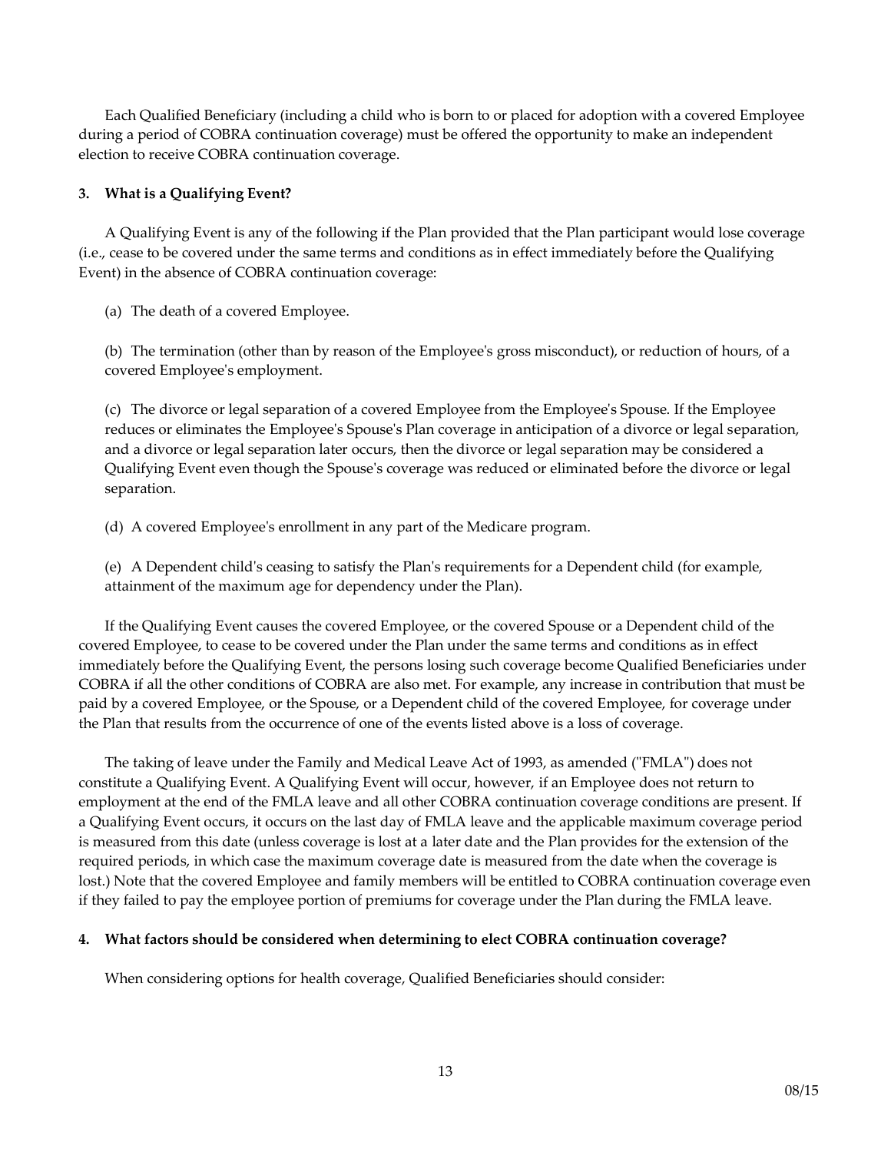Each Qualified Beneficiary (including a child who is born to or placed for adoption with a covered Employee during a period of COBRA continuation coverage) must be offered the opportunity to make an independent election to receive COBRA continuation coverage.

# **3. What is a Qualifying Event?**

A Qualifying Event is any of the following if the Plan provided that the Plan participant would lose coverage (i.e., cease to be covered under the same terms and conditions as in effect immediately before the Qualifying Event) in the absence of COBRA continuation coverage:

(a) The death of a covered Employee.

(b) The termination (other than by reason of the Employee's gross misconduct), or reduction of hours, of a covered Employee's employment.

(c) The divorce or legal separation of a covered Employee from the Employee's Spouse. If the Employee reduces or eliminates the Employee's Spouse's Plan coverage in anticipation of a divorce or legal separation, and a divorce or legal separation later occurs, then the divorce or legal separation may be considered a Qualifying Event even though the Spouse's coverage was reduced or eliminated before the divorce or legal separation.

(d) A covered Employee's enrollment in any part of the Medicare program.

(e) A Dependent child's ceasing to satisfy the Plan's requirements for a Dependent child (for example, attainment of the maximum age for dependency under the Plan).

If the Qualifying Event causes the covered Employee, or the covered Spouse or a Dependent child of the covered Employee, to cease to be covered under the Plan under the same terms and conditions as in effect immediately before the Qualifying Event, the persons losing such coverage become Qualified Beneficiaries under COBRA if all the other conditions of COBRA are also met. For example, any increase in contribution that must be paid by a covered Employee, or the Spouse, or a Dependent child of the covered Employee, for coverage under the Plan that results from the occurrence of one of the events listed above is a loss of coverage.

The taking of leave under the Family and Medical Leave Act of 1993, as amended ("FMLA") does not constitute a Qualifying Event. A Qualifying Event will occur, however, if an Employee does not return to employment at the end of the FMLA leave and all other COBRA continuation coverage conditions are present. If a Qualifying Event occurs, it occurs on the last day of FMLA leave and the applicable maximum coverage period is measured from this date (unless coverage is lost at a later date and the Plan provides for the extension of the required periods, in which case the maximum coverage date is measured from the date when the coverage is lost.) Note that the covered Employee and family members will be entitled to COBRA continuation coverage even if they failed to pay the employee portion of premiums for coverage under the Plan during the FMLA leave.

# **4. What factors should be considered when determining to elect COBRA continuation coverage?**

When considering options for health coverage, Qualified Beneficiaries should consider: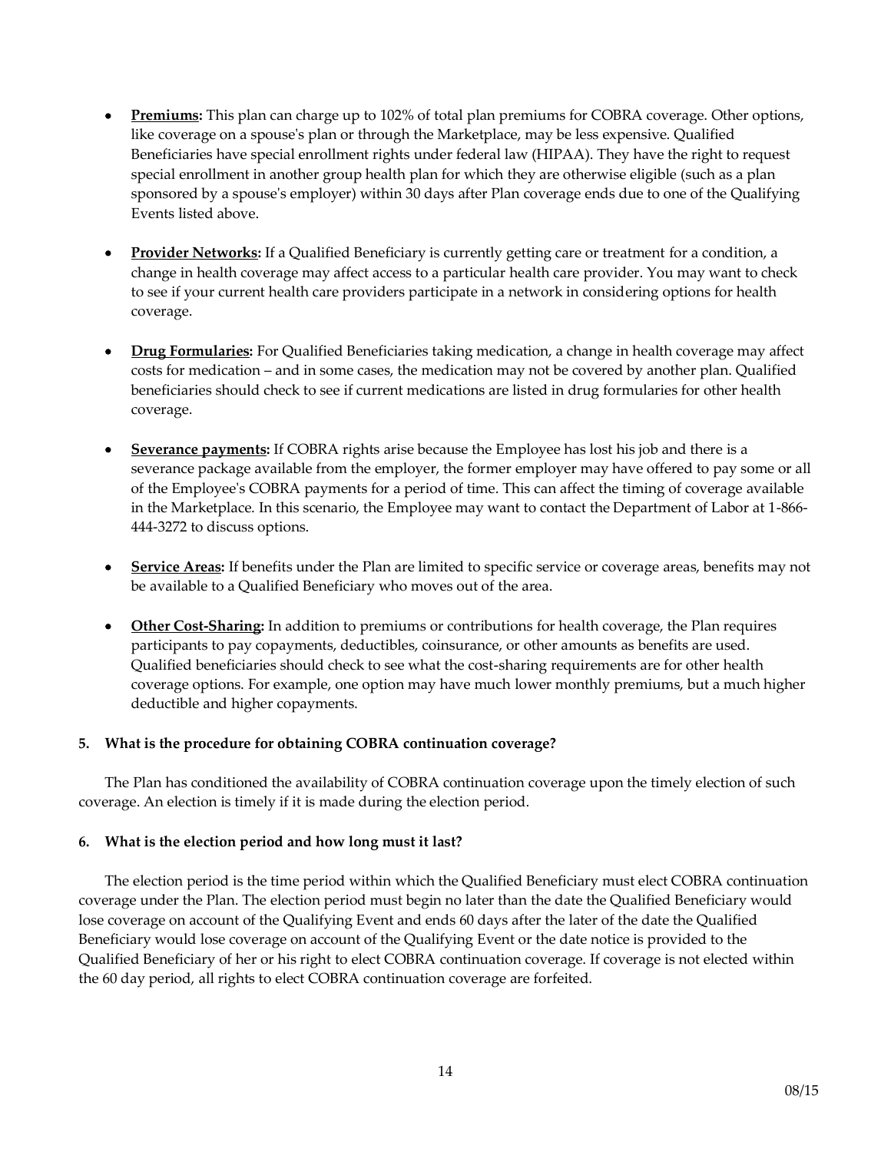- **Premiums:** This plan can charge up to 102% of total plan premiums for COBRA coverage. Other options, like coverage on a spouse's plan or through the Marketplace, may be less expensive. Qualified Beneficiaries have special enrollment rights under federal law (HIPAA). They have the right to request special enrollment in another group health plan for which they are otherwise eligible (such as a plan sponsored by a spouse's employer) within 30 days after Plan coverage ends due to one of the Qualifying Events listed above.
- **Provider Networks:** If a Qualified Beneficiary is currently getting care or treatment for a condition, a change in health coverage may affect access to a particular health care provider. You may want to check to see if your current health care providers participate in a network in considering options for health coverage.
- **Drug Formularies:** For Qualified Beneficiaries taking medication, a change in health coverage may affect costs for medication – and in some cases, the medication may not be covered by another plan. Qualified beneficiaries should check to see if current medications are listed in drug formularies for other health coverage.
- **Severance payments:** If COBRA rights arise because the Employee has lost his job and there is a severance package available from the employer, the former employer may have offered to pay some or all of the Employee's COBRA payments for a period of time. This can affect the timing of coverage available in the Marketplace. In this scenario, the Employee may want to contact the Department of Labor at 1-866- 444-3272 to discuss options.
- **Service Areas:** If benefits under the Plan are limited to specific service or coverage areas, benefits may not be available to a Qualified Beneficiary who moves out of the area.
- **Other Cost-Sharing:** In addition to premiums or contributions for health coverage, the Plan requires participants to pay copayments, deductibles, coinsurance, or other amounts as benefits are used. Qualified beneficiaries should check to see what the cost-sharing requirements are for other health coverage options. For example, one option may have much lower monthly premiums, but a much higher deductible and higher copayments.

# **5. What is the procedure for obtaining COBRA continuation coverage?**

The Plan has conditioned the availability of COBRA continuation coverage upon the timely election of such coverage. An election is timely if it is made during the election period.

# **6. What is the election period and how long must it last?**

The election period is the time period within which the Qualified Beneficiary must elect COBRA continuation coverage under the Plan. The election period must begin no later than the date the Qualified Beneficiary would lose coverage on account of the Qualifying Event and ends 60 days after the later of the date the Qualified Beneficiary would lose coverage on account of the Qualifying Event or the date notice is provided to the Qualified Beneficiary of her or his right to elect COBRA continuation coverage. If coverage is not elected within the 60 day period, all rights to elect COBRA continuation coverage are forfeited.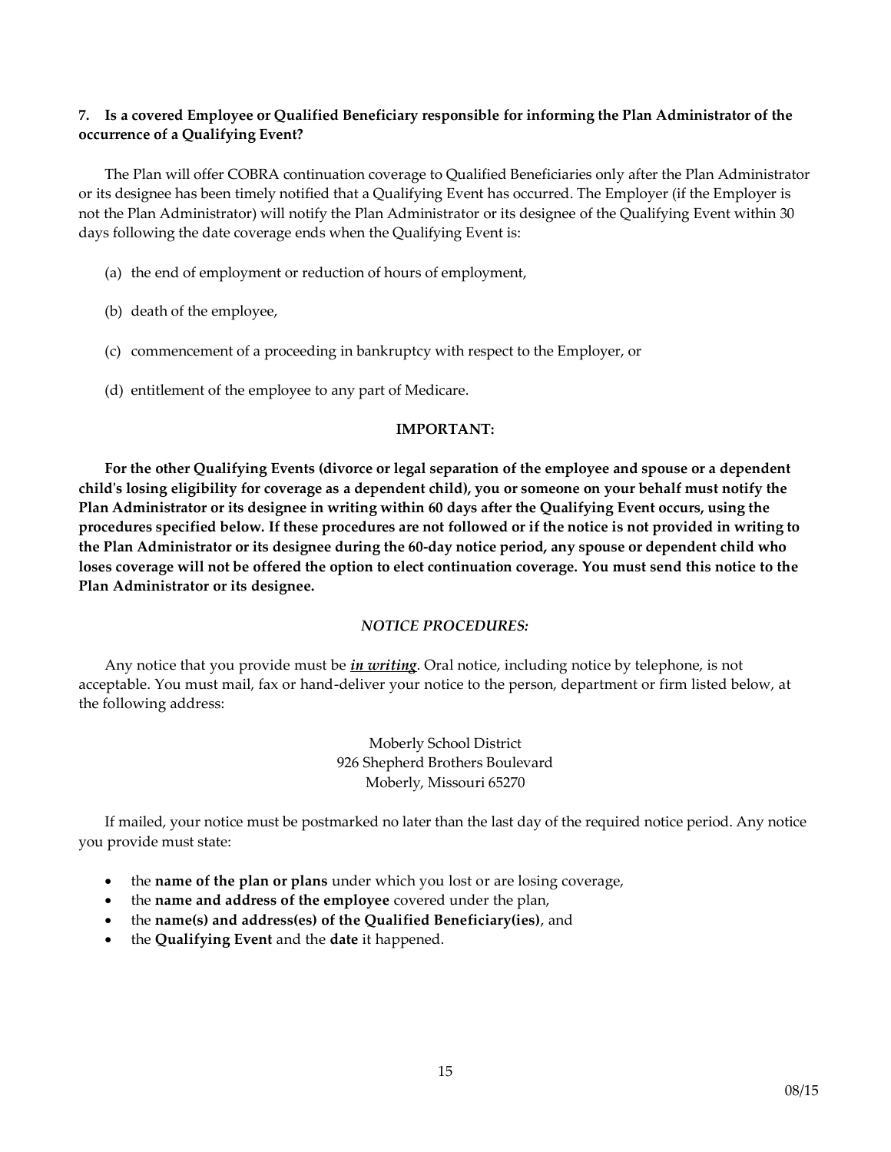# **7. Is a covered Employee or Qualified Beneficiary responsible for informing the Plan Administrator of the occurrence of a Qualifying Event?**

The Plan will offer COBRA continuation coverage to Qualified Beneficiaries only after the Plan Administrator or its designee has been timely notified that a Qualifying Event has occurred. The Employer (if the Employer is not the Plan Administrator) will notify the Plan Administrator or its designee of the Qualifying Event within 30 days following the date coverage ends when the Qualifying Event is:

- (a) the end of employment or reduction of hours of employment,
- (b) death of the employee,
- (c) commencement of a proceeding in bankruptcy with respect to the Employer, or
- (d) entitlement of the employee to any part of Medicare.

### **IMPORTANT:**

**For the other Qualifying Events (divorce or legal separation of the employee and spouse or a dependent child's losing eligibility for coverage as a dependent child), you or someone on your behalf must notify the Plan Administrator or its designee in writing within 60 days after the Qualifying Event occurs, using the procedures specified below. If these procedures are not followed or if the notice is not provided in writing to the Plan Administrator or its designee during the 60-day notice period, any spouse or dependent child who loses coverage will not be offered the option to elect continuation coverage. You must send this notice to the Plan Administrator or its designee.**

# *NOTICE PROCEDURES:*

Any notice that you provide must be *in writing*. Oral notice, including notice by telephone, is not acceptable. You must mail, fax or hand-deliver your notice to the person, department or firm listed below, at the following address:

> Moberly School District 926 Shepherd Brothers Boulevard Moberly, Missouri 65270

If mailed, your notice must be postmarked no later than the last day of the required notice period. Any notice you provide must state:

- the **name of the plan or plans** under which you lost or are losing coverage,
- the **name and address of the employee** covered under the plan,
- the **name(s) and address(es) of the Qualified Beneficiary(ies)**, and
- the **Qualifying Event** and the **date** it happened.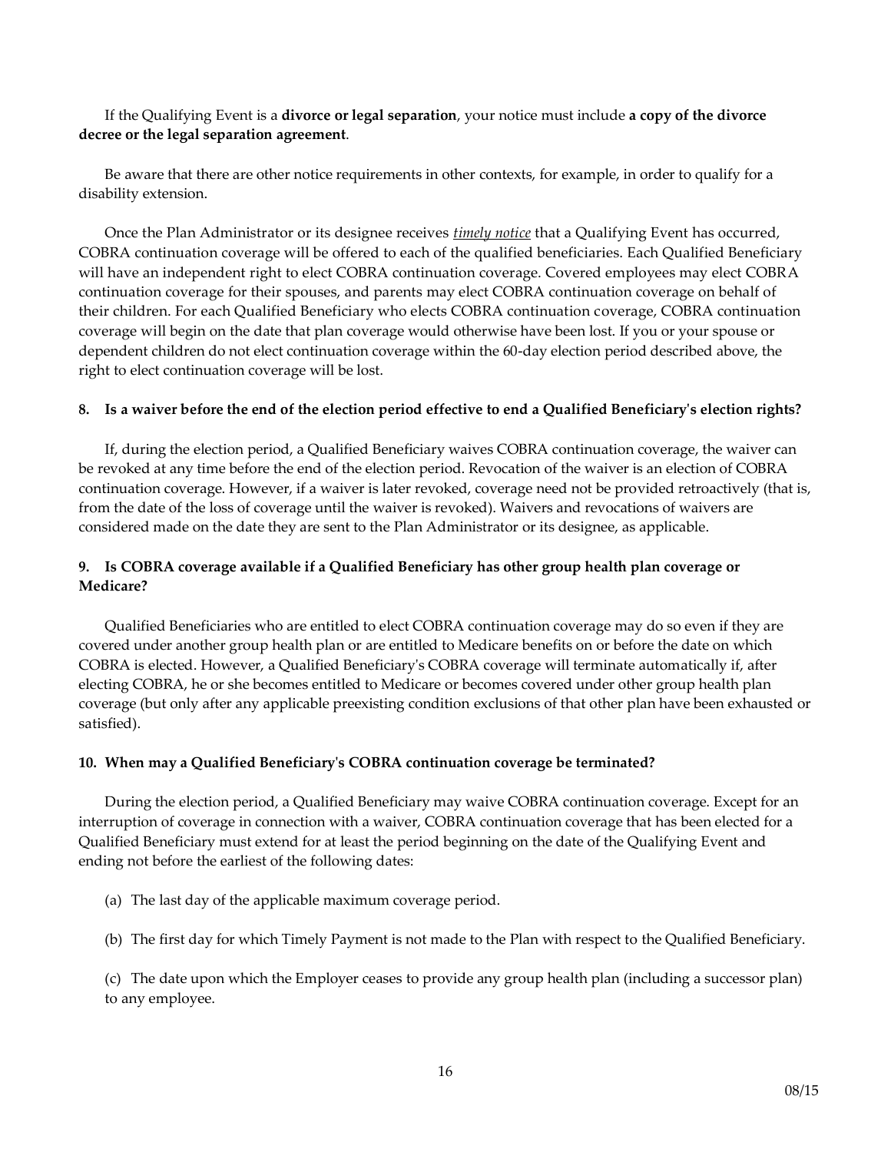If the Qualifying Event is a **divorce or legal separation**, your notice must include **a copy of the divorce decree or the legal separation agreement**.

Be aware that there are other notice requirements in other contexts, for example, in order to qualify for a disability extension.

Once the Plan Administrator or its designee receives *timely notice* that a Qualifying Event has occurred, COBRA continuation coverage will be offered to each of the qualified beneficiaries. Each Qualified Beneficiary will have an independent right to elect COBRA continuation coverage. Covered employees may elect COBRA continuation coverage for their spouses, and parents may elect COBRA continuation coverage on behalf of their children. For each Qualified Beneficiary who elects COBRA continuation coverage, COBRA continuation coverage will begin on the date that plan coverage would otherwise have been lost. If you or your spouse or dependent children do not elect continuation coverage within the 60-day election period described above, the right to elect continuation coverage will be lost.

#### **8. Is a waiver before the end of the election period effective to end a Qualified Beneficiary's election rights?**

If, during the election period, a Qualified Beneficiary waives COBRA continuation coverage, the waiver can be revoked at any time before the end of the election period. Revocation of the waiver is an election of COBRA continuation coverage. However, if a waiver is later revoked, coverage need not be provided retroactively (that is, from the date of the loss of coverage until the waiver is revoked). Waivers and revocations of waivers are considered made on the date they are sent to the Plan Administrator or its designee, as applicable.

# **9. Is COBRA coverage available if a Qualified Beneficiary has other group health plan coverage or Medicare?**

Qualified Beneficiaries who are entitled to elect COBRA continuation coverage may do so even if they are covered under another group health plan or are entitled to Medicare benefits on or before the date on which COBRA is elected. However, a Qualified Beneficiary's COBRA coverage will terminate automatically if, after electing COBRA, he or she becomes entitled to Medicare or becomes covered under other group health plan coverage (but only after any applicable preexisting condition exclusions of that other plan have been exhausted or satisfied).

#### **10. When may a Qualified Beneficiary's COBRA continuation coverage be terminated?**

During the election period, a Qualified Beneficiary may waive COBRA continuation coverage. Except for an interruption of coverage in connection with a waiver, COBRA continuation coverage that has been elected for a Qualified Beneficiary must extend for at least the period beginning on the date of the Qualifying Event and ending not before the earliest of the following dates:

- (a) The last day of the applicable maximum coverage period.
- (b) The first day for which Timely Payment is not made to the Plan with respect to the Qualified Beneficiary.

(c) The date upon which the Employer ceases to provide any group health plan (including a successor plan) to any employee.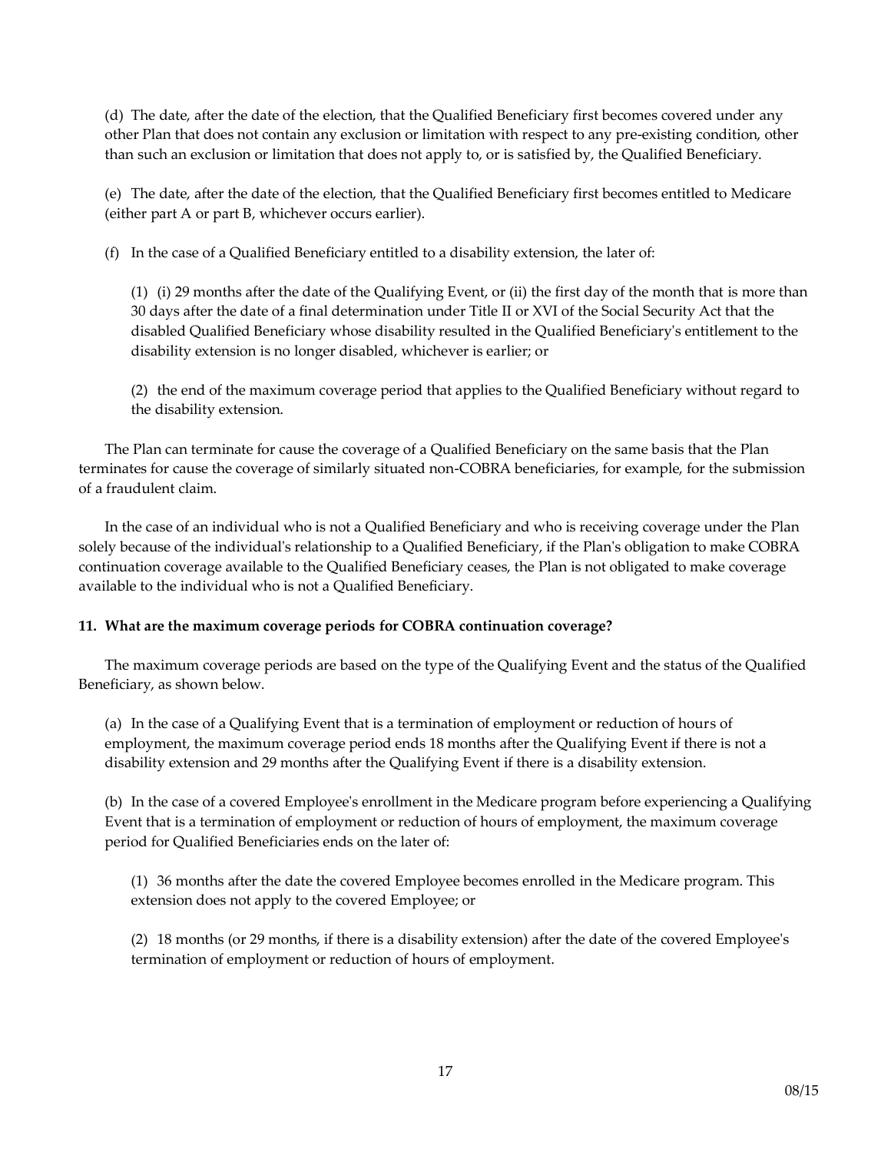(d) The date, after the date of the election, that the Qualified Beneficiary first becomes covered under any other Plan that does not contain any exclusion or limitation with respect to any pre-existing condition, other than such an exclusion or limitation that does not apply to, or is satisfied by, the Qualified Beneficiary.

(e) The date, after the date of the election, that the Qualified Beneficiary first becomes entitled to Medicare (either part A or part B, whichever occurs earlier).

(f) In the case of a Qualified Beneficiary entitled to a disability extension, the later of:

(1) (i) 29 months after the date of the Qualifying Event, or (ii) the first day of the month that is more than 30 days after the date of a final determination under Title II or XVI of the Social Security Act that the disabled Qualified Beneficiary whose disability resulted in the Qualified Beneficiary's entitlement to the disability extension is no longer disabled, whichever is earlier; or

(2) the end of the maximum coverage period that applies to the Qualified Beneficiary without regard to the disability extension.

The Plan can terminate for cause the coverage of a Qualified Beneficiary on the same basis that the Plan terminates for cause the coverage of similarly situated non-COBRA beneficiaries, for example, for the submission of a fraudulent claim.

In the case of an individual who is not a Qualified Beneficiary and who is receiving coverage under the Plan solely because of the individual's relationship to a Qualified Beneficiary, if the Plan's obligation to make COBRA continuation coverage available to the Qualified Beneficiary ceases, the Plan is not obligated to make coverage available to the individual who is not a Qualified Beneficiary.

# **11. What are the maximum coverage periods for COBRA continuation coverage?**

The maximum coverage periods are based on the type of the Qualifying Event and the status of the Qualified Beneficiary, as shown below.

(a) In the case of a Qualifying Event that is a termination of employment or reduction of hours of employment, the maximum coverage period ends 18 months after the Qualifying Event if there is not a disability extension and 29 months after the Qualifying Event if there is a disability extension.

(b) In the case of a covered Employee's enrollment in the Medicare program before experiencing a Qualifying Event that is a termination of employment or reduction of hours of employment, the maximum coverage period for Qualified Beneficiaries ends on the later of:

(1) 36 months after the date the covered Employee becomes enrolled in the Medicare program. This extension does not apply to the covered Employee; or

(2) 18 months (or 29 months, if there is a disability extension) after the date of the covered Employee's termination of employment or reduction of hours of employment.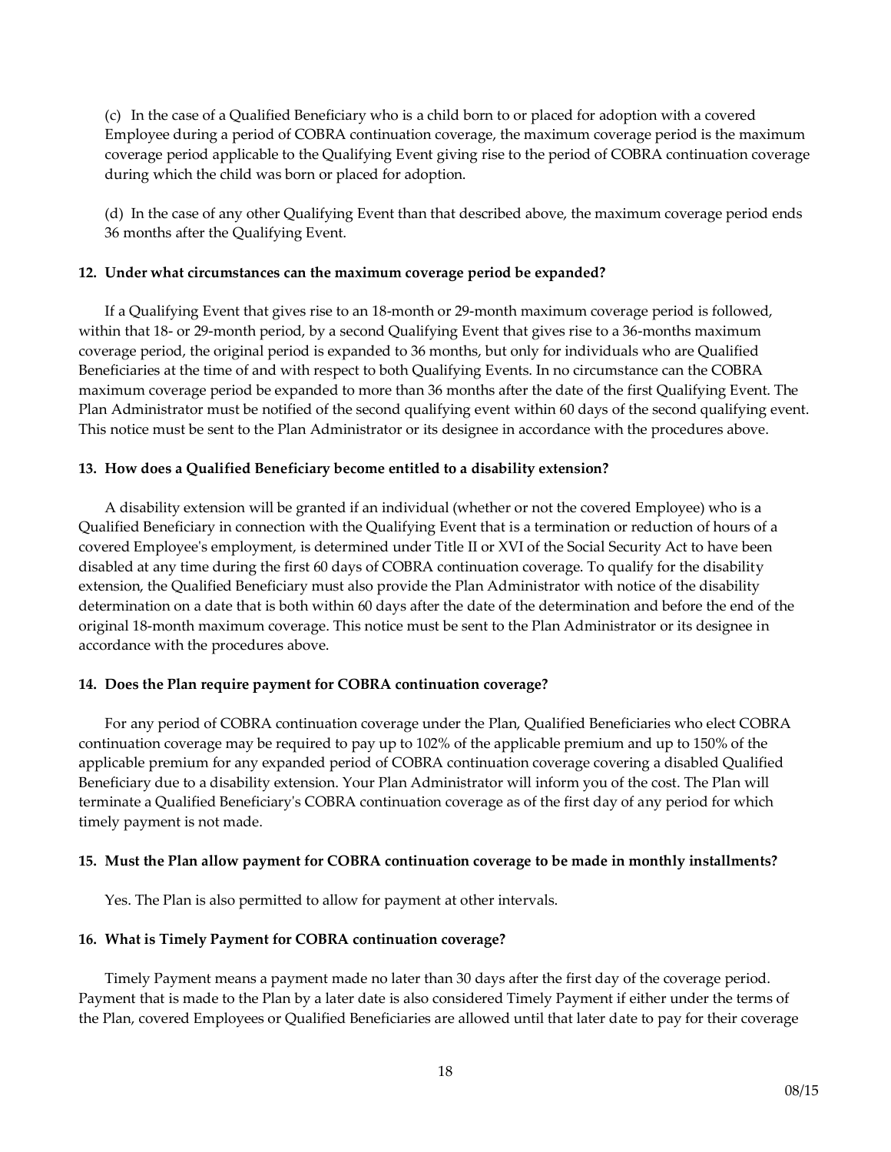(c) In the case of a Qualified Beneficiary who is a child born to or placed for adoption with a covered Employee during a period of COBRA continuation coverage, the maximum coverage period is the maximum coverage period applicable to the Qualifying Event giving rise to the period of COBRA continuation coverage during which the child was born or placed for adoption.

(d) In the case of any other Qualifying Event than that described above, the maximum coverage period ends 36 months after the Qualifying Event.

### **12. Under what circumstances can the maximum coverage period be expanded?**

If a Qualifying Event that gives rise to an 18-month or 29-month maximum coverage period is followed, within that 18- or 29-month period, by a second Qualifying Event that gives rise to a 36-months maximum coverage period, the original period is expanded to 36 months, but only for individuals who are Qualified Beneficiaries at the time of and with respect to both Qualifying Events. In no circumstance can the COBRA maximum coverage period be expanded to more than 36 months after the date of the first Qualifying Event. The Plan Administrator must be notified of the second qualifying event within 60 days of the second qualifying event. This notice must be sent to the Plan Administrator or its designee in accordance with the procedures above.

### **13. How does a Qualified Beneficiary become entitled to a disability extension?**

A disability extension will be granted if an individual (whether or not the covered Employee) who is a Qualified Beneficiary in connection with the Qualifying Event that is a termination or reduction of hours of a covered Employee's employment, is determined under Title II or XVI of the Social Security Act to have been disabled at any time during the first 60 days of COBRA continuation coverage. To qualify for the disability extension, the Qualified Beneficiary must also provide the Plan Administrator with notice of the disability determination on a date that is both within 60 days after the date of the determination and before the end of the original 18-month maximum coverage. This notice must be sent to the Plan Administrator or its designee in accordance with the procedures above.

# **14. Does the Plan require payment for COBRA continuation coverage?**

For any period of COBRA continuation coverage under the Plan, Qualified Beneficiaries who elect COBRA continuation coverage may be required to pay up to 102% of the applicable premium and up to 150% of the applicable premium for any expanded period of COBRA continuation coverage covering a disabled Qualified Beneficiary due to a disability extension. Your Plan Administrator will inform you of the cost. The Plan will terminate a Qualified Beneficiary's COBRA continuation coverage as of the first day of any period for which timely payment is not made.

#### **15. Must the Plan allow payment for COBRA continuation coverage to be made in monthly installments?**

Yes. The Plan is also permitted to allow for payment at other intervals.

#### **16. What is Timely Payment for COBRA continuation coverage?**

Timely Payment means a payment made no later than 30 days after the first day of the coverage period. Payment that is made to the Plan by a later date is also considered Timely Payment if either under the terms of the Plan, covered Employees or Qualified Beneficiaries are allowed until that later date to pay for their coverage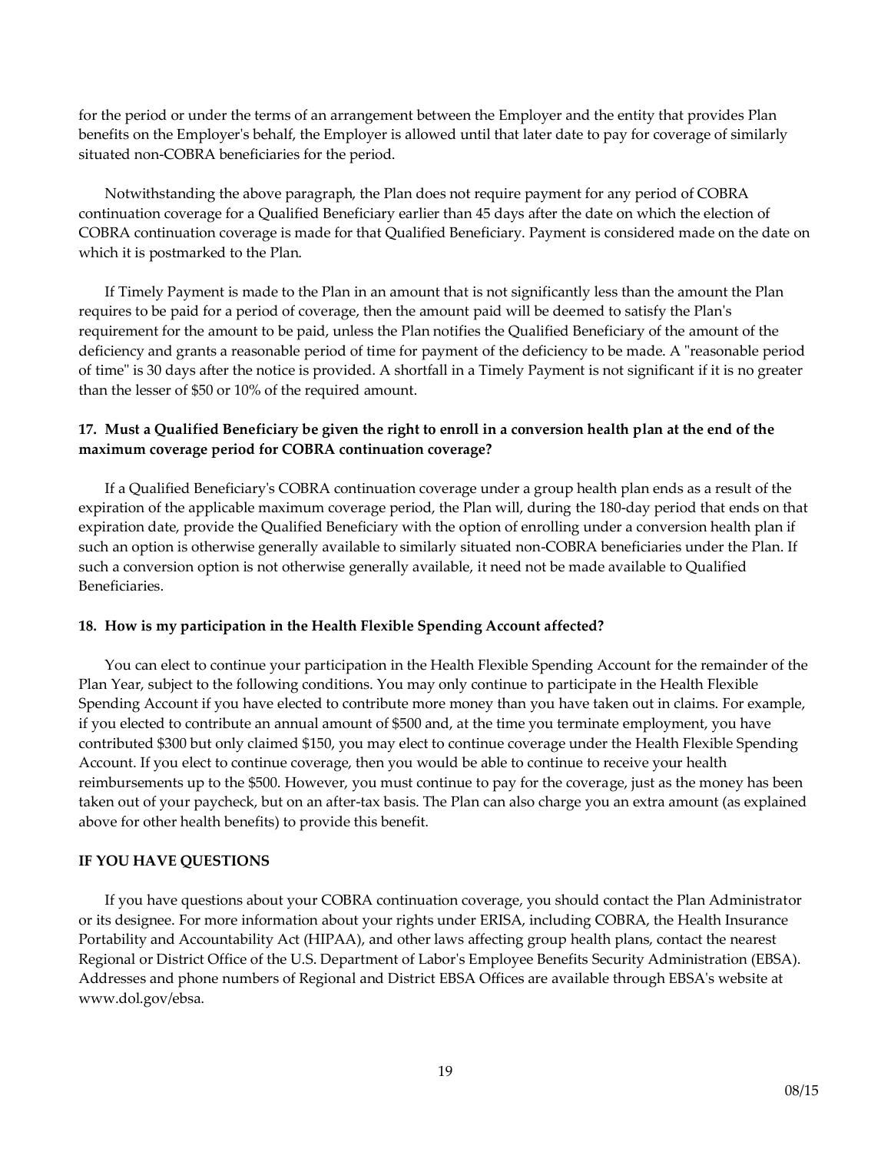for the period or under the terms of an arrangement between the Employer and the entity that provides Plan benefits on the Employer's behalf, the Employer is allowed until that later date to pay for coverage of similarly situated non-COBRA beneficiaries for the period.

Notwithstanding the above paragraph, the Plan does not require payment for any period of COBRA continuation coverage for a Qualified Beneficiary earlier than 45 days after the date on which the election of COBRA continuation coverage is made for that Qualified Beneficiary. Payment is considered made on the date on which it is postmarked to the Plan.

If Timely Payment is made to the Plan in an amount that is not significantly less than the amount the Plan requires to be paid for a period of coverage, then the amount paid will be deemed to satisfy the Plan's requirement for the amount to be paid, unless the Plan notifies the Qualified Beneficiary of the amount of the deficiency and grants a reasonable period of time for payment of the deficiency to be made. A "reasonable period of time" is 30 days after the notice is provided. A shortfall in a Timely Payment is not significant if it is no greater than the lesser of \$50 or 10% of the required amount.

# **17. Must a Qualified Beneficiary be given the right to enroll in a conversion health plan at the end of the maximum coverage period for COBRA continuation coverage?**

If a Qualified Beneficiary's COBRA continuation coverage under a group health plan ends as a result of the expiration of the applicable maximum coverage period, the Plan will, during the 180-day period that ends on that expiration date, provide the Qualified Beneficiary with the option of enrolling under a conversion health plan if such an option is otherwise generally available to similarly situated non-COBRA beneficiaries under the Plan. If such a conversion option is not otherwise generally available, it need not be made available to Qualified Beneficiaries.

# **18. How is my participation in the Health Flexible Spending Account affected?**

You can elect to continue your participation in the Health Flexible Spending Account for the remainder of the Plan Year, subject to the following conditions. You may only continue to participate in the Health Flexible Spending Account if you have elected to contribute more money than you have taken out in claims. For example, if you elected to contribute an annual amount of \$500 and, at the time you terminate employment, you have contributed \$300 but only claimed \$150, you may elect to continue coverage under the Health Flexible Spending Account. If you elect to continue coverage, then you would be able to continue to receive your health reimbursements up to the \$500. However, you must continue to pay for the coverage, just as the money has been taken out of your paycheck, but on an after-tax basis. The Plan can also charge you an extra amount (as explained above for other health benefits) to provide this benefit.

# **IF YOU HAVE QUESTIONS**

If you have questions about your COBRA continuation coverage, you should contact the Plan Administrator or its designee. For more information about your rights under ERISA, including COBRA, the Health Insurance Portability and Accountability Act (HIPAA), and other laws affecting group health plans, contact the nearest Regional or District Office of the U.S. Department of Labor's Employee Benefits Security Administration (EBSA). Addresses and phone numbers of Regional and District EBSA Offices are available through EBSA's website at www.dol.gov/ebsa.